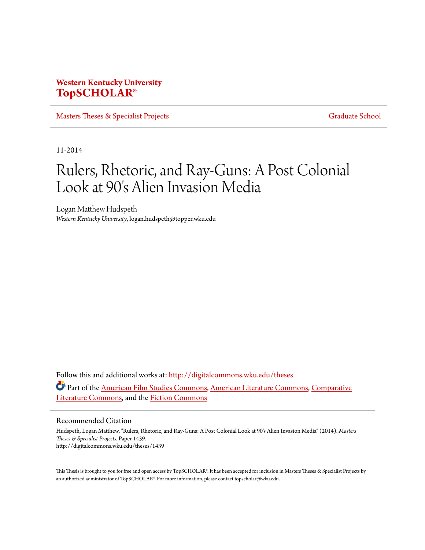# **Western Kentucky University [TopSCHOLAR®](http://digitalcommons.wku.edu?utm_source=digitalcommons.wku.edu%2Ftheses%2F1439&utm_medium=PDF&utm_campaign=PDFCoverPages)**

[Masters Theses & Specialist Projects](http://digitalcommons.wku.edu/theses?utm_source=digitalcommons.wku.edu%2Ftheses%2F1439&utm_medium=PDF&utm_campaign=PDFCoverPages) [Graduate School](http://digitalcommons.wku.edu/Graduate?utm_source=digitalcommons.wku.edu%2Ftheses%2F1439&utm_medium=PDF&utm_campaign=PDFCoverPages)

11-2014

# Rulers, Rhetoric, and Ray-Guns: A Post Colonial Look at 90's Alien Invasion Media

Logan Matthew Hudspeth *Western Kentucky University*, logan.hudspeth@topper.wku.edu

Follow this and additional works at: [http://digitalcommons.wku.edu/theses](http://digitalcommons.wku.edu/theses?utm_source=digitalcommons.wku.edu%2Ftheses%2F1439&utm_medium=PDF&utm_campaign=PDFCoverPages) Part of the [American Film Studies Commons](http://network.bepress.com/hgg/discipline/440?utm_source=digitalcommons.wku.edu%2Ftheses%2F1439&utm_medium=PDF&utm_campaign=PDFCoverPages), [American Literature Commons](http://network.bepress.com/hgg/discipline/441?utm_source=digitalcommons.wku.edu%2Ftheses%2F1439&utm_medium=PDF&utm_campaign=PDFCoverPages), [Comparative](http://network.bepress.com/hgg/discipline/454?utm_source=digitalcommons.wku.edu%2Ftheses%2F1439&utm_medium=PDF&utm_campaign=PDFCoverPages) [Literature Commons,](http://network.bepress.com/hgg/discipline/454?utm_source=digitalcommons.wku.edu%2Ftheses%2F1439&utm_medium=PDF&utm_campaign=PDFCoverPages) and the [Fiction Commons](http://network.bepress.com/hgg/discipline/1151?utm_source=digitalcommons.wku.edu%2Ftheses%2F1439&utm_medium=PDF&utm_campaign=PDFCoverPages)

#### Recommended Citation

Hudspeth, Logan Matthew, "Rulers, Rhetoric, and Ray-Guns: A Post Colonial Look at 90's Alien Invasion Media" (2014). *Masters Theses & Specialist Projects.* Paper 1439. http://digitalcommons.wku.edu/theses/1439

This Thesis is brought to you for free and open access by TopSCHOLAR®. It has been accepted for inclusion in Masters Theses & Specialist Projects by an authorized administrator of TopSCHOLAR®. For more information, please contact topscholar@wku.edu.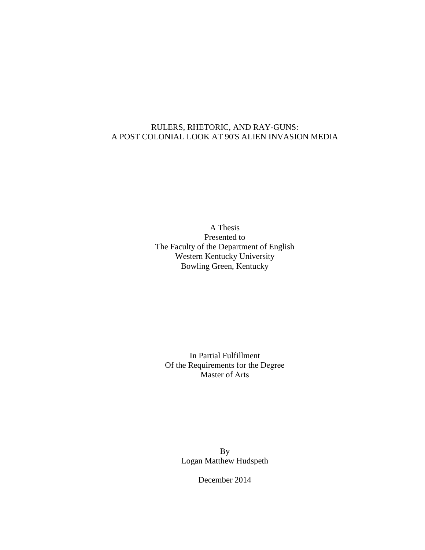## RULERS, RHETORIC, AND RAY-GUNS: A POST COLONIAL LOOK AT 90'S ALIEN INVASION MEDIA

A Thesis Presented to The Faculty of the Department of English Western Kentucky University Bowling Green, Kentucky

In Partial Fulfillment Of the Requirements for the Degree Master of Arts

> By Logan Matthew Hudspeth

> > December 2014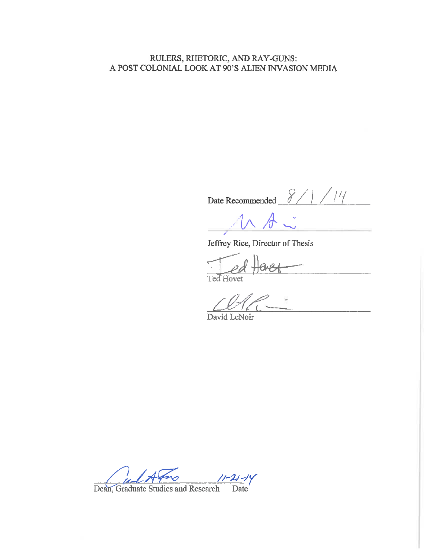## RULERS, RHETORIC, AND RAY-GUNS: A POST COLONIAL LOOK AT 90'S ALIEN INVASION MEDIA

Date Recommended  $8/1/14$ 

 $\sqrt{2}$ 

 $\overline{a}$ 

Jeffrey Rice, Director of Thesis

Ted Hovet

David LeNoir

 $11 - 21 - 14$ Date<sup>1</sup>

Dean, Graduate Studies and Research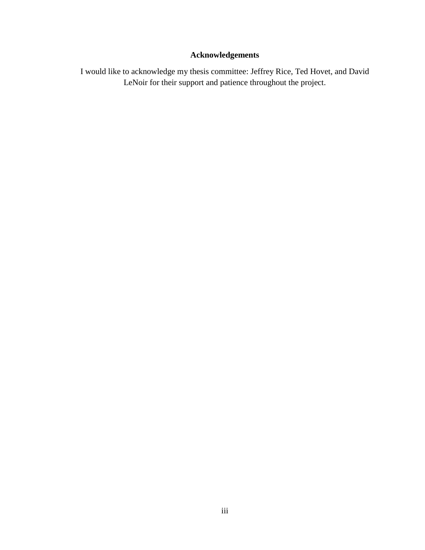# **Acknowledgements**

I would like to acknowledge my thesis committee: Jeffrey Rice, Ted Hovet, and David LeNoir for their support and patience throughout the project.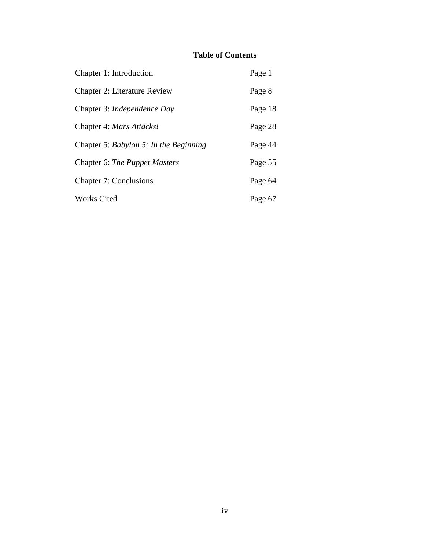# **Table of Contents**

| Chapter 1: Introduction                | Page 1  |
|----------------------------------------|---------|
| <b>Chapter 2: Literature Review</b>    | Page 8  |
| Chapter 3: <i>Independence Day</i>     | Page 18 |
| Chapter 4: Mars Attacks!               | Page 28 |
| Chapter 5: Babylon 5: In the Beginning | Page 44 |
| Chapter 6: The Puppet Masters          | Page 55 |
| <b>Chapter 7: Conclusions</b>          | Page 64 |
| <b>Works Cited</b>                     | Page 67 |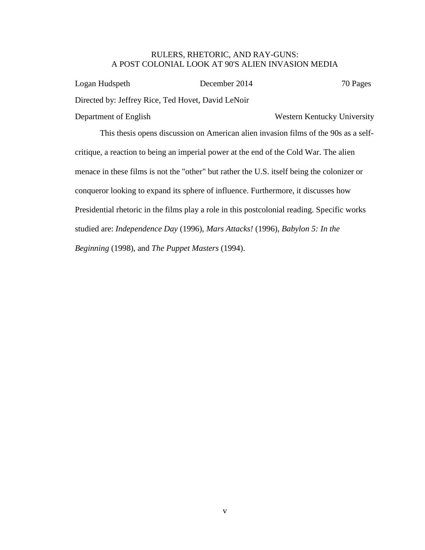## RULERS, RHETORIC, AND RAY-GUNS: A POST COLONIAL LOOK AT 90'S ALIEN INVASION MEDIA

| December 2014 | 70 Pages                                                                            |
|---------------|-------------------------------------------------------------------------------------|
|               |                                                                                     |
|               | Western Kentucky University                                                         |
|               | This thesis opens discussion on American alien invasion films of the 90s as a self- |
|               | Directed by: Jeffrey Rice, Ted Hovet, David LeNoir                                  |

critique, a reaction to being an imperial power at the end of the Cold War. The alien menace in these films is not the "other" but rather the U.S. itself being the colonizer or conqueror looking to expand its sphere of influence. Furthermore, it discusses how Presidential rhetoric in the films play a role in this postcolonial reading. Specific works studied are: *Independence Day* (1996), *Mars Attacks!* (1996), *Babylon 5: In the Beginning* (1998), and *The Puppet Masters* (1994).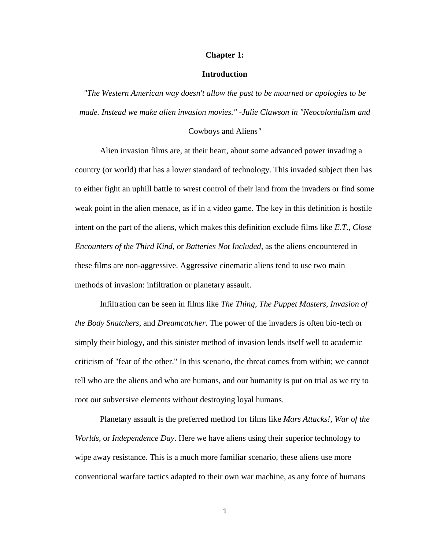#### **Chapter 1:**

#### **Introduction**

*"The Western American way doesn't allow the past to be mourned or apologies to be made. Instead we make alien invasion movies." -Julie Clawson in "Neocolonialism and* 

#### Cowboys and Aliens*"*

Alien invasion films are, at their heart, about some advanced power invading a country (or world) that has a lower standard of technology. This invaded subject then has to either fight an uphill battle to wrest control of their land from the invaders or find some weak point in the alien menace, as if in a video game. The key in this definition is hostile intent on the part of the aliens, which makes this definition exclude films like *E.T.*, *Close Encounters of the Third Kind*, or *Batteries Not Included*, as the aliens encountered in these films are non-aggressive. Aggressive cinematic aliens tend to use two main methods of invasion: infiltration or planetary assault.

Infiltration can be seen in films like *The Thing*, *The Puppet Masters*, *Invasion of the Body Snatchers*, and *Dreamcatcher*. The power of the invaders is often bio-tech or simply their biology, and this sinister method of invasion lends itself well to academic criticism of "fear of the other." In this scenario, the threat comes from within; we cannot tell who are the aliens and who are humans, and our humanity is put on trial as we try to root out subversive elements without destroying loyal humans.

Planetary assault is the preferred method for films like *Mars Attacks!*, *War of the Worlds*, or *Independence Day*. Here we have aliens using their superior technology to wipe away resistance. This is a much more familiar scenario, these aliens use more conventional warfare tactics adapted to their own war machine, as any force of humans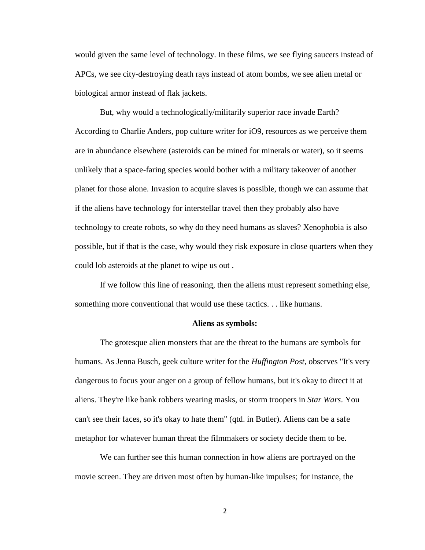would given the same level of technology. In these films, we see flying saucers instead of APCs, we see city-destroying death rays instead of atom bombs, we see alien metal or biological armor instead of flak jackets.

But, why would a technologically/militarily superior race invade Earth? According to Charlie Anders, pop culture writer for iO9, resources as we perceive them are in abundance elsewhere (asteroids can be mined for minerals or water), so it seems unlikely that a space-faring species would bother with a military takeover of another planet for those alone. Invasion to acquire slaves is possible, though we can assume that if the aliens have technology for interstellar travel then they probably also have technology to create robots, so why do they need humans as slaves? Xenophobia is also possible, but if that is the case, why would they risk exposure in close quarters when they could lob asteroids at the planet to wipe us out .

If we follow this line of reasoning, then the aliens must represent something else, something more conventional that would use these tactics. . . like humans.

#### **Aliens as symbols:**

The grotesque alien monsters that are the threat to the humans are symbols for humans. As Jenna Busch, geek culture writer for the *Huffington Post*, observes "It's very dangerous to focus your anger on a group of fellow humans, but it's okay to direct it at aliens. They're like bank robbers wearing masks, or storm troopers in *Star Wars*. You can't see their faces, so it's okay to hate them" (qtd. in Butler). Aliens can be a safe metaphor for whatever human threat the filmmakers or society decide them to be.

We can further see this human connection in how aliens are portrayed on the movie screen. They are driven most often by human-like impulses; for instance, the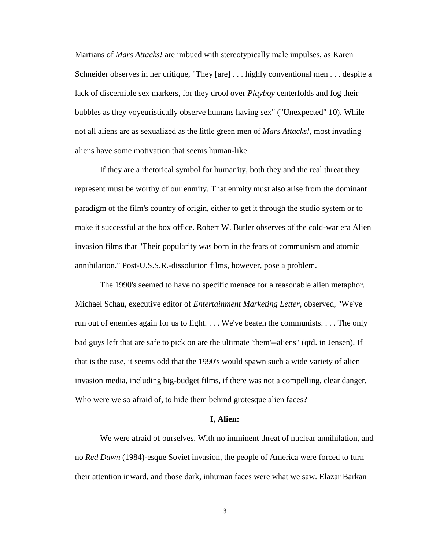Martians of *Mars Attacks!* are imbued with stereotypically male impulses, as Karen Schneider observes in her critique, "They [are] . . . highly conventional men . . . despite a lack of discernible sex markers, for they drool over *Playboy* centerfolds and fog their bubbles as they voyeuristically observe humans having sex" ("Unexpected" 10). While not all aliens are as sexualized as the little green men of *Mars Attacks!*, most invading aliens have some motivation that seems human-like.

If they are a rhetorical symbol for humanity, both they and the real threat they represent must be worthy of our enmity. That enmity must also arise from the dominant paradigm of the film's country of origin, either to get it through the studio system or to make it successful at the box office. Robert W. Butler observes of the cold-war era Alien invasion films that "Their popularity was born in the fears of communism and atomic annihilation." Post-U.S.S.R.-dissolution films, however, pose a problem.

The 1990's seemed to have no specific menace for a reasonable alien metaphor. Michael Schau, executive editor of *Entertainment Marketing Letter*, observed, "We've run out of enemies again for us to fight. . . . We've beaten the communists. . . . The only bad guys left that are safe to pick on are the ultimate 'them'--aliens" (qtd. in Jensen). If that is the case, it seems odd that the 1990's would spawn such a wide variety of alien invasion media, including big-budget films, if there was not a compelling, clear danger. Who were we so afraid of, to hide them behind grotesque alien faces?

#### **I, Alien:**

We were afraid of ourselves. With no imminent threat of nuclear annihilation, and no *Red Dawn* (1984)-esque Soviet invasion, the people of America were forced to turn their attention inward, and those dark, inhuman faces were what we saw. Elazar Barkan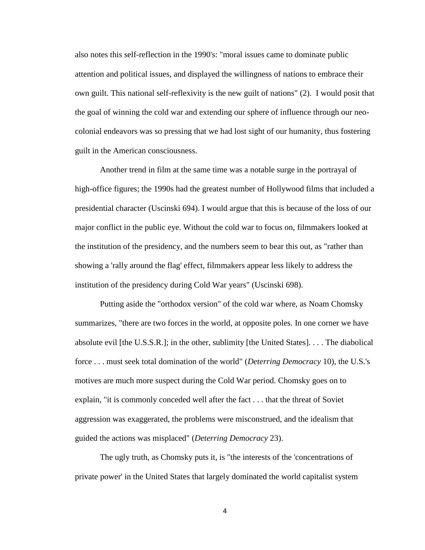also notes this self-reflection in the 1990's: "moral issues came to dominate public attention and political issues, and displayed the willingness of nations to embrace their own guilt. This national self-reflexivity is the new guilt of nations" (2). I would posit that the goal of winning the cold war and extending our sphere of influence through our neocolonial endeavors was so pressing that we had lost sight of our humanity, thus fostering guilt in the American consciousness.

Another trend in film at the same time was a notable surge in the portrayal of high-office figures; the 1990s had the greatest number of Hollywood films that included a presidential character (Uscinski 694). I would argue that this is because of the loss of our major conflict in the public eye. Without the cold war to focus on, filmmakers looked at the institution of the presidency, and the numbers seem to bear this out, as "rather than showing a 'rally around the flag' effect, filmmakers appear less likely to address the institution of the presidency during Cold War years" (Uscinski 698).

Putting aside the "orthodox version" of the cold war where, as Noam Chomsky summarizes, "there are two forces in the world, at opposite poles. In one corner we have absolute evil [the U.S.S.R.]; in the other, sublimity [the United States]. . . . The diabolical force . . . must seek total domination of the world" (*Deterring Democracy* 10), the U.S.'s motives are much more suspect during the Cold War period. Chomsky goes on to explain, "it is commonly conceded well after the fact . . . that the threat of Soviet aggression was exaggerated, the problems were misconstrued, and the idealism that guided the actions was misplaced" (*Deterring Democracy* 23).

The ugly truth, as Chomsky puts it, is "the interests of the 'concentrations of private power' in the United States that largely dominated the world capitalist system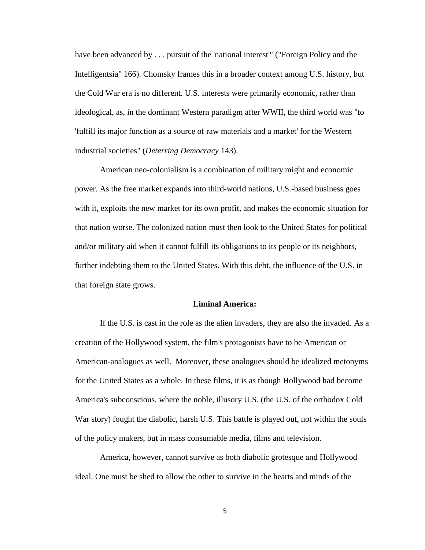have been advanced by . . . pursuit of the 'national interest'" ("Foreign Policy and the Intelligentsia" 166). Chomsky frames this in a broader context among U.S. history, but the Cold War era is no different. U.S. interests were primarily economic, rather than ideological, as, in the dominant Western paradigm after WWII, the third world was "to 'fulfill its major function as a source of raw materials and a market' for the Western industrial societies" (*Deterring Democracy* 143).

American neo-colonialism is a combination of military might and economic power. As the free market expands into third-world nations, U.S.-based business goes with it, exploits the new market for its own profit, and makes the economic situation for that nation worse. The colonized nation must then look to the United States for political and/or military aid when it cannot fulfill its obligations to its people or its neighbors, further indebting them to the United States. With this debt, the influence of the U.S. in that foreign state grows.

#### **Liminal America:**

If the U.S. is cast in the role as the alien invaders, they are also the invaded. As a creation of the Hollywood system, the film's protagonists have to be American or American-analogues as well. Moreover, these analogues should be idealized metonyms for the United States as a whole. In these films, it is as though Hollywood had become America's subconscious, where the noble, illusory U.S. (the U.S. of the orthodox Cold War story) fought the diabolic, harsh U.S. This battle is played out, not within the souls of the policy makers, but in mass consumable media, films and television.

America, however, cannot survive as both diabolic grotesque and Hollywood ideal. One must be shed to allow the other to survive in the hearts and minds of the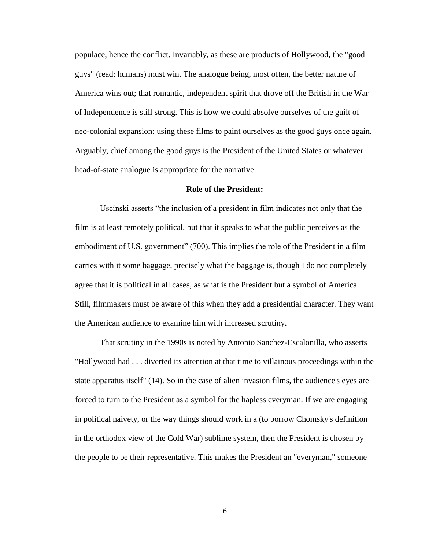populace, hence the conflict. Invariably, as these are products of Hollywood, the "good guys" (read: humans) must win. The analogue being, most often, the better nature of America wins out; that romantic, independent spirit that drove off the British in the War of Independence is still strong. This is how we could absolve ourselves of the guilt of neo-colonial expansion: using these films to paint ourselves as the good guys once again. Arguably, chief among the good guys is the President of the United States or whatever head-of-state analogue is appropriate for the narrative.

#### **Role of the President:**

Uscinski asserts "the inclusion of a president in film indicates not only that the film is at least remotely political, but that it speaks to what the public perceives as the embodiment of U.S. government" (700). This implies the role of the President in a film carries with it some baggage, precisely what the baggage is, though I do not completely agree that it is political in all cases, as what is the President but a symbol of America. Still, filmmakers must be aware of this when they add a presidential character. They want the American audience to examine him with increased scrutiny.

That scrutiny in the 1990s is noted by Antonio Sanchez-Escalonilla, who asserts "Hollywood had . . . diverted its attention at that time to villainous proceedings within the state apparatus itself" (14). So in the case of alien invasion films, the audience's eyes are forced to turn to the President as a symbol for the hapless everyman. If we are engaging in political naivety, or the way things should work in a (to borrow Chomsky's definition in the orthodox view of the Cold War) sublime system, then the President is chosen by the people to be their representative. This makes the President an "everyman," someone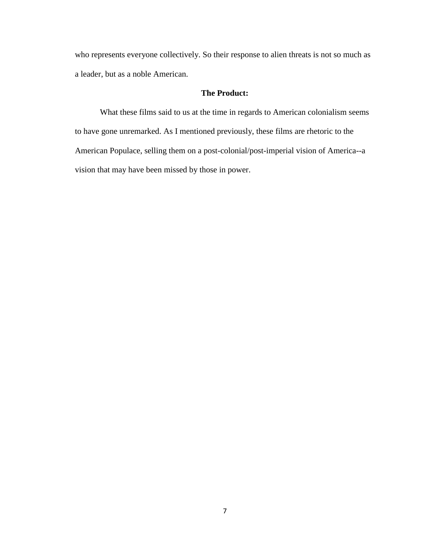who represents everyone collectively. So their response to alien threats is not so much as a leader, but as a noble American.

### **The Product:**

What these films said to us at the time in regards to American colonialism seems to have gone unremarked. As I mentioned previously, these films are rhetoric to the American Populace, selling them on a post-colonial/post-imperial vision of America--a vision that may have been missed by those in power.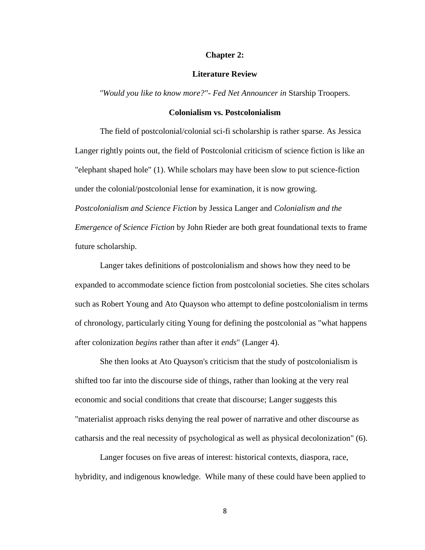#### **Chapter 2:**

#### **Literature Review**

*"Would you like to know more?"- Fed Net Announcer in* Starship Troopers.

#### **Colonialism vs. Postcolonialism**

The field of postcolonial/colonial sci-fi scholarship is rather sparse. As Jessica Langer rightly points out, the field of Postcolonial criticism of science fiction is like an "elephant shaped hole" (1). While scholars may have been slow to put science-fiction under the colonial/postcolonial lense for examination, it is now growing. *Postcolonialism and Science Fiction* by Jessica Langer and *Colonialism and the Emergence of Science Fiction* by John Rieder are both great foundational texts to frame future scholarship.

Langer takes definitions of postcolonialism and shows how they need to be expanded to accommodate science fiction from postcolonial societies. She cites scholars such as Robert Young and Ato Quayson who attempt to define postcolonialism in terms of chronology, particularly citing Young for defining the postcolonial as "what happens after colonization *begins* rather than after it *ends*" (Langer 4).

She then looks at Ato Quayson's criticism that the study of postcolonialism is shifted too far into the discourse side of things, rather than looking at the very real economic and social conditions that create that discourse; Langer suggests this "materialist approach risks denying the real power of narrative and other discourse as catharsis and the real necessity of psychological as well as physical decolonization" (6).

Langer focuses on five areas of interest: historical contexts, diaspora, race, hybridity, and indigenous knowledge. While many of these could have been applied to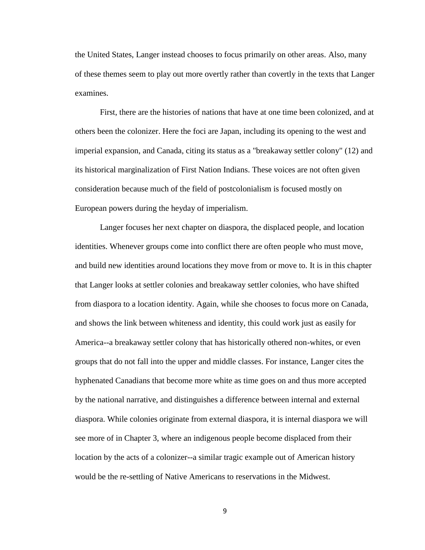the United States, Langer instead chooses to focus primarily on other areas. Also, many of these themes seem to play out more overtly rather than covertly in the texts that Langer examines.

First, there are the histories of nations that have at one time been colonized, and at others been the colonizer. Here the foci are Japan, including its opening to the west and imperial expansion, and Canada, citing its status as a "breakaway settler colony" (12) and its historical marginalization of First Nation Indians. These voices are not often given consideration because much of the field of postcolonialism is focused mostly on European powers during the heyday of imperialism.

Langer focuses her next chapter on diaspora, the displaced people, and location identities. Whenever groups come into conflict there are often people who must move, and build new identities around locations they move from or move to. It is in this chapter that Langer looks at settler colonies and breakaway settler colonies, who have shifted from diaspora to a location identity. Again, while she chooses to focus more on Canada, and shows the link between whiteness and identity, this could work just as easily for America--a breakaway settler colony that has historically othered non-whites, or even groups that do not fall into the upper and middle classes. For instance, Langer cites the hyphenated Canadians that become more white as time goes on and thus more accepted by the national narrative, and distinguishes a difference between internal and external diaspora. While colonies originate from external diaspora, it is internal diaspora we will see more of in Chapter 3, where an indigenous people become displaced from their location by the acts of a colonizer--a similar tragic example out of American history would be the re-settling of Native Americans to reservations in the Midwest.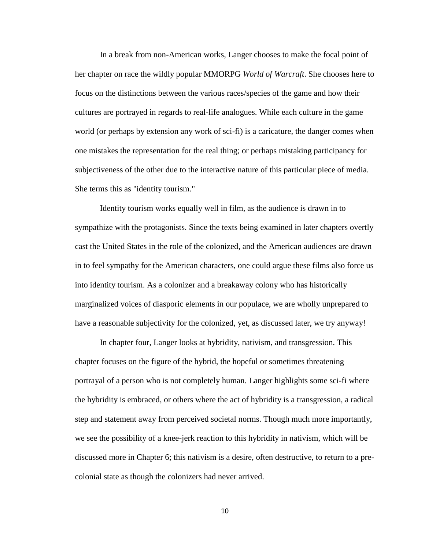In a break from non-American works, Langer chooses to make the focal point of her chapter on race the wildly popular MMORPG *World of Warcraft*. She chooses here to focus on the distinctions between the various races/species of the game and how their cultures are portrayed in regards to real-life analogues. While each culture in the game world (or perhaps by extension any work of sci-fi) is a caricature, the danger comes when one mistakes the representation for the real thing; or perhaps mistaking participancy for subjectiveness of the other due to the interactive nature of this particular piece of media. She terms this as "identity tourism."

Identity tourism works equally well in film, as the audience is drawn in to sympathize with the protagonists. Since the texts being examined in later chapters overtly cast the United States in the role of the colonized, and the American audiences are drawn in to feel sympathy for the American characters, one could argue these films also force us into identity tourism. As a colonizer and a breakaway colony who has historically marginalized voices of diasporic elements in our populace, we are wholly unprepared to have a reasonable subjectivity for the colonized, yet, as discussed later, we try anyway!

In chapter four, Langer looks at hybridity, nativism, and transgression. This chapter focuses on the figure of the hybrid, the hopeful or sometimes threatening portrayal of a person who is not completely human. Langer highlights some sci-fi where the hybridity is embraced, or others where the act of hybridity is a transgression, a radical step and statement away from perceived societal norms. Though much more importantly, we see the possibility of a knee-jerk reaction to this hybridity in nativism, which will be discussed more in Chapter 6; this nativism is a desire, often destructive, to return to a precolonial state as though the colonizers had never arrived.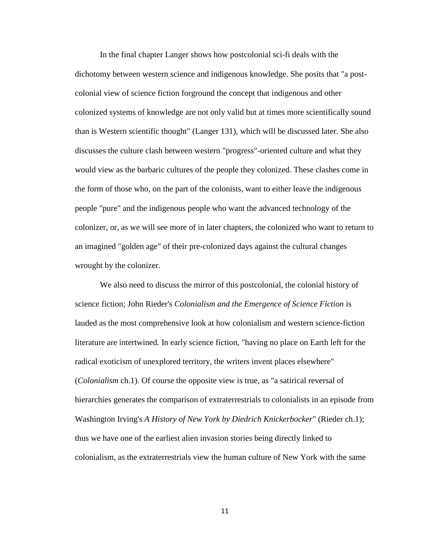In the final chapter Langer shows how postcolonial sci-fi deals with the dichotomy between western science and indigenous knowledge. She posits that "a postcolonial view of science fiction forground the concept that indigenous and other colonized systems of knowledge are not only valid but at times more scientifically sound than is Western scientific thought" (Langer 131), which will be discussed later. She also discusses the culture clash between western "progress"-oriented culture and what they would view as the barbaric cultures of the people they colonized. These clashes come in the form of those who, on the part of the colonists, want to either leave the indigenous people "pure" and the indigenous people who want the advanced technology of the colonizer, or, as we will see more of in later chapters, the colonized who want to return to an imagined "golden age" of their pre-colonized days against the cultural changes wrought by the colonizer.

We also need to discuss the mirror of this postcolonial, the colonial history of science fiction; John Rieder's *Colonialism and the Emergence of Science Fiction* is lauded as the most comprehensive look at how colonialism and western science-fiction literature are intertwined. In early science fiction, "having no place on Earth left for the radical exoticism of unexplored territory, the writers invent places elsewhere" (*Colonialism* ch.1). Of course the opposite view is true, as "a satirical reversal of hierarchies generates the comparison of extraterrestrials to colonialists in an episode from Washington Irving's *A History of New York by Diedrich Knickerbocker*" (Rieder ch.1); thus we have one of the earliest alien invasion stories being directly linked to colonialism, as the extraterrestrials view the human culture of New York with the same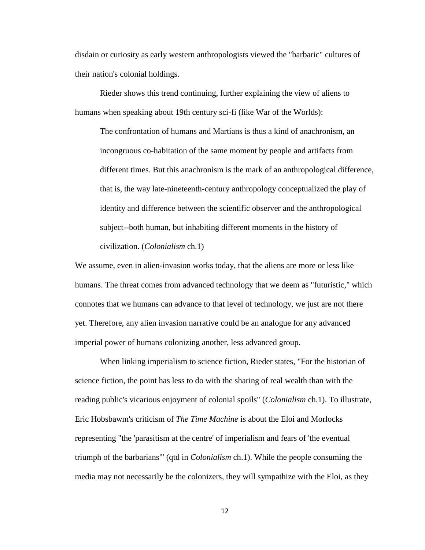disdain or curiosity as early western anthropologists viewed the "barbaric" cultures of their nation's colonial holdings.

Rieder shows this trend continuing, further explaining the view of aliens to humans when speaking about 19th century sci-fi (like War of the Worlds):

The confrontation of humans and Martians is thus a kind of anachronism, an incongruous co-habitation of the same moment by people and artifacts from different times. But this anachronism is the mark of an anthropological difference, that is, the way late-nineteenth-century anthropology conceptualized the play of identity and difference between the scientific observer and the anthropological subject--both human, but inhabiting different moments in the history of civilization. (*Colonialism* ch.1)

We assume, even in alien-invasion works today, that the aliens are more or less like humans. The threat comes from advanced technology that we deem as "futuristic," which connotes that we humans can advance to that level of technology, we just are not there yet. Therefore, any alien invasion narrative could be an analogue for any advanced imperial power of humans colonizing another, less advanced group.

When linking imperialism to science fiction, Rieder states, "For the historian of science fiction, the point has less to do with the sharing of real wealth than with the reading public's vicarious enjoyment of colonial spoils" (*Colonialism* ch.1). To illustrate, Eric Hobsbawm's criticism of *The Time Machine* is about the Eloi and Morlocks representing "the 'parasitism at the centre' of imperialism and fears of 'the eventual triumph of the barbarians'" (qtd in *Colonialism* ch.1). While the people consuming the media may not necessarily be the colonizers, they will sympathize with the Eloi, as they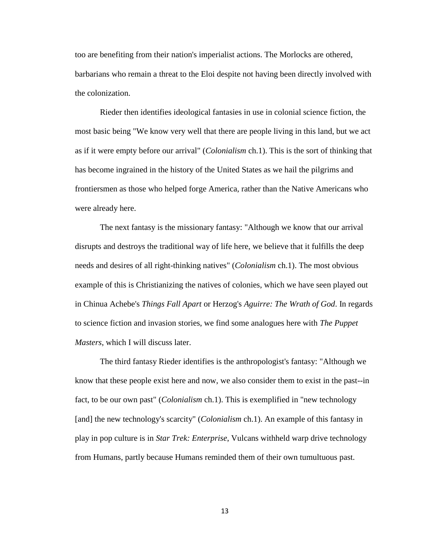too are benefiting from their nation's imperialist actions. The Morlocks are othered, barbarians who remain a threat to the Eloi despite not having been directly involved with the colonization.

Rieder then identifies ideological fantasies in use in colonial science fiction, the most basic being "We know very well that there are people living in this land, but we act as if it were empty before our arrival" (*Colonialism* ch.1). This is the sort of thinking that has become ingrained in the history of the United States as we hail the pilgrims and frontiersmen as those who helped forge America, rather than the Native Americans who were already here.

The next fantasy is the missionary fantasy: "Although we know that our arrival disrupts and destroys the traditional way of life here, we believe that it fulfills the deep needs and desires of all right-thinking natives" (*Colonialism* ch.1). The most obvious example of this is Christianizing the natives of colonies, which we have seen played out in Chinua Achebe's *Things Fall Apart* or Herzog's *Aguirre: The Wrath of God*. In regards to science fiction and invasion stories, we find some analogues here with *The Puppet Masters*, which I will discuss later.

The third fantasy Rieder identifies is the anthropologist's fantasy: "Although we know that these people exist here and now, we also consider them to exist in the past--in fact, to be our own past" (*Colonialism* ch.1). This is exemplified in "new technology [and] the new technology's scarcity" (*Colonialism* ch.1). An example of this fantasy in play in pop culture is in *Star Trek: Enterprise*, Vulcans withheld warp drive technology from Humans, partly because Humans reminded them of their own tumultuous past.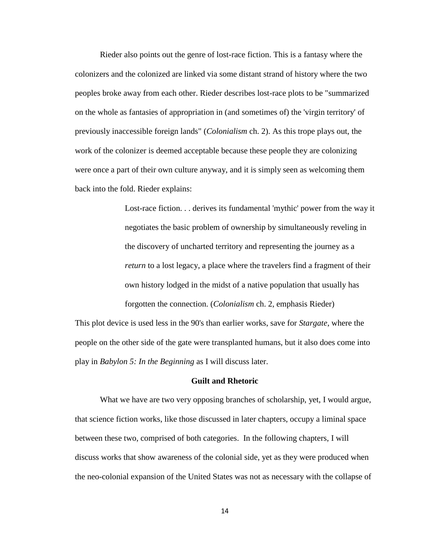Rieder also points out the genre of lost-race fiction. This is a fantasy where the colonizers and the colonized are linked via some distant strand of history where the two peoples broke away from each other. Rieder describes lost-race plots to be "summarized on the whole as fantasies of appropriation in (and sometimes of) the 'virgin territory' of previously inaccessible foreign lands" (*Colonialism* ch. 2). As this trope plays out, the work of the colonizer is deemed acceptable because these people they are colonizing were once a part of their own culture anyway, and it is simply seen as welcoming them back into the fold. Rieder explains:

> Lost-race fiction. . . derives its fundamental 'mythic' power from the way it negotiates the basic problem of ownership by simultaneously reveling in the discovery of uncharted territory and representing the journey as a *return* to a lost legacy, a place where the travelers find a fragment of their own history lodged in the midst of a native population that usually has forgotten the connection. (*Colonialism* ch. 2, emphasis Rieder)

This plot device is used less in the 90's than earlier works, save for *Stargate*, where the people on the other side of the gate were transplanted humans, but it also does come into play in *Babylon 5: In the Beginning* as I will discuss later.

#### **Guilt and Rhetoric**

What we have are two very opposing branches of scholarship, yet, I would argue, that science fiction works, like those discussed in later chapters, occupy a liminal space between these two, comprised of both categories. In the following chapters, I will discuss works that show awareness of the colonial side, yet as they were produced when the neo-colonial expansion of the United States was not as necessary with the collapse of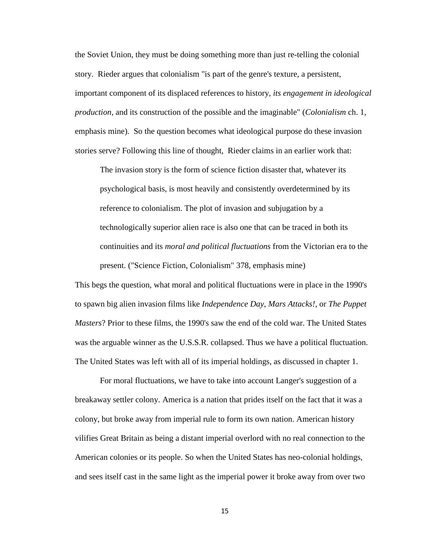the Soviet Union, they must be doing something more than just re-telling the colonial story. Rieder argues that colonialism "is part of the genre's texture, a persistent, important component of its displaced references to history*, its engagement in ideological production*, and its construction of the possible and the imaginable" (*Colonialism* ch. 1, emphasis mine). So the question becomes what ideological purpose do these invasion stories serve? Following this line of thought, Rieder claims in an earlier work that:

The invasion story is the form of science fiction disaster that, whatever its psychological basis, is most heavily and consistently overdetermined by its reference to colonialism. The plot of invasion and subjugation by a technologically superior alien race is also one that can be traced in both its continuities and its *moral and political fluctuations* from the Victorian era to the present. ("Science Fiction, Colonialism" 378, emphasis mine)

This begs the question, what moral and political fluctuations were in place in the 1990's to spawn big alien invasion films like *Independence Day*, *Mars Attacks!*, or *The Puppet Masters*? Prior to these films, the 1990's saw the end of the cold war. The United States was the arguable winner as the U.S.S.R. collapsed. Thus we have a political fluctuation. The United States was left with all of its imperial holdings, as discussed in chapter 1.

For moral fluctuations, we have to take into account Langer's suggestion of a breakaway settler colony. America is a nation that prides itself on the fact that it was a colony, but broke away from imperial rule to form its own nation. American history vilifies Great Britain as being a distant imperial overlord with no real connection to the American colonies or its people. So when the United States has neo-colonial holdings, and sees itself cast in the same light as the imperial power it broke away from over two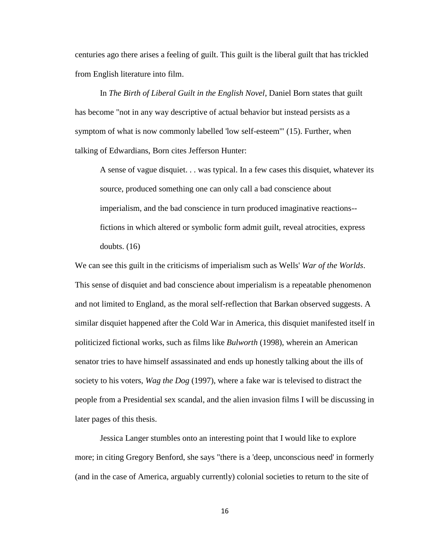centuries ago there arises a feeling of guilt. This guilt is the liberal guilt that has trickled from English literature into film.

In *The Birth of Liberal Guilt in the English Novel*, Daniel Born states that guilt has become "not in any way descriptive of actual behavior but instead persists as a symptom of what is now commonly labelled 'low self-esteem'" (15). Further, when talking of Edwardians, Born cites Jefferson Hunter:

A sense of vague disquiet. . . was typical. In a few cases this disquiet, whatever its source, produced something one can only call a bad conscience about imperialism, and the bad conscience in turn produced imaginative reactions- fictions in which altered or symbolic form admit guilt, reveal atrocities, express doubts. (16)

We can see this guilt in the criticisms of imperialism such as Wells' *War of the Worlds*. This sense of disquiet and bad conscience about imperialism is a repeatable phenomenon and not limited to England, as the moral self-reflection that Barkan observed suggests. A similar disquiet happened after the Cold War in America, this disquiet manifested itself in politicized fictional works, such as films like *Bulworth* (1998), wherein an American senator tries to have himself assassinated and ends up honestly talking about the ills of society to his voters, *Wag the Dog* (1997), where a fake war is televised to distract the people from a Presidential sex scandal, and the alien invasion films I will be discussing in later pages of this thesis.

Jessica Langer stumbles onto an interesting point that I would like to explore more; in citing Gregory Benford, she says "there is a 'deep, unconscious need' in formerly (and in the case of America, arguably currently) colonial societies to return to the site of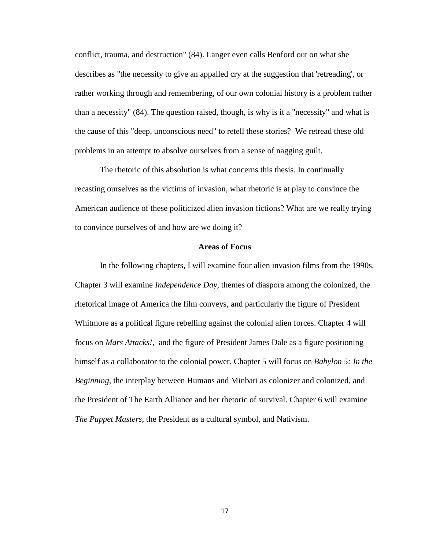conflict, trauma, and destruction" (84). Langer even calls Benford out on what she describes as "the necessity to give an appalled cry at the suggestion that 'retreading', or rather working through and remembering, of our own colonial history is a problem rather than a necessity" (84). The question raised, though, is why is it a "necessity" and what is the cause of this "deep, unconscious need" to retell these stories? We retread these old problems in an attempt to absolve ourselves from a sense of nagging guilt.

The rhetoric of this absolution is what concerns this thesis. In continually recasting ourselves as the victims of invasion, what rhetoric is at play to convince the American audience of these politicized alien invasion fictions? What are we really trying to convince ourselves of and how are we doing it?

#### **Areas of Focus**

In the following chapters, I will examine four alien invasion films from the 1990s. Chapter 3 will examine *Independence Day*, themes of diaspora among the colonized, the rhetorical image of America the film conveys, and particularly the figure of President Whitmore as a political figure rebelling against the colonial alien forces. Chapter 4 will focus on *Mars Attacks!,* and the figure of President James Dale as a figure positioning himself as a collaborator to the colonial power. Chapter 5 will focus on *Babylon 5: In the Beginning*, the interplay between Humans and Minbari as colonizer and colonized, and the President of The Earth Alliance and her rhetoric of survival. Chapter 6 will examine *The Puppet Masters*, the President as a cultural symbol, and Nativism.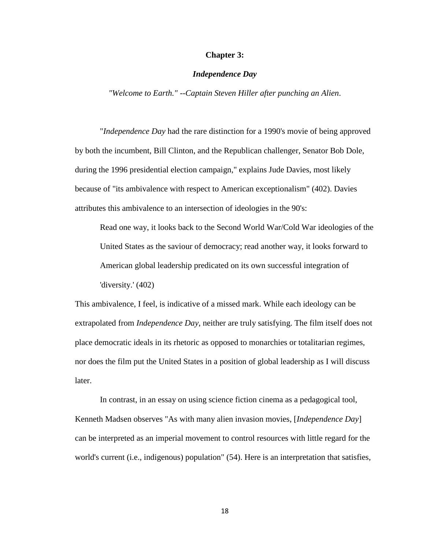#### **Chapter 3:**

#### *Independence Day*

*"Welcome to Earth." --Captain Steven Hiller after punching an Alien*.

"*Independence Day* had the rare distinction for a 1990's movie of being approved by both the incumbent, Bill Clinton, and the Republican challenger, Senator Bob Dole, during the 1996 presidential election campaign," explains Jude Davies, most likely because of "its ambivalence with respect to American exceptionalism" (402). Davies attributes this ambivalence to an intersection of ideologies in the 90's:

Read one way, it looks back to the Second World War/Cold War ideologies of the United States as the saviour of democracy; read another way, it looks forward to American global leadership predicated on its own successful integration of 'diversity.' (402)

This ambivalence, I feel, is indicative of a missed mark. While each ideology can be extrapolated from *Independence Day*, neither are truly satisfying. The film itself does not place democratic ideals in its rhetoric as opposed to monarchies or totalitarian regimes, nor does the film put the United States in a position of global leadership as I will discuss later.

In contrast, in an essay on using science fiction cinema as a pedagogical tool, Kenneth Madsen observes "As with many alien invasion movies, [*Independence Day*] can be interpreted as an imperial movement to control resources with little regard for the world's current (i.e., indigenous) population" (54). Here is an interpretation that satisfies,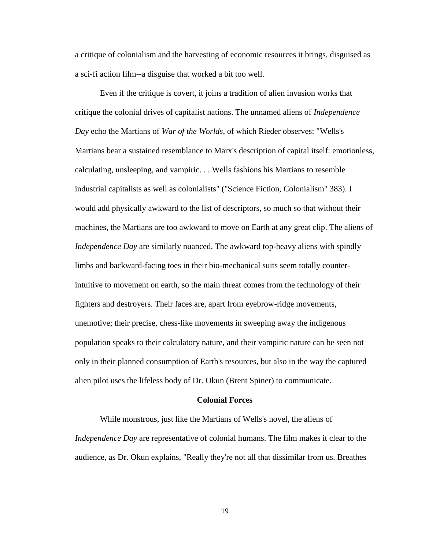a critique of colonialism and the harvesting of economic resources it brings, disguised as a sci-fi action film--a disguise that worked a bit too well.

Even if the critique is covert, it joins a tradition of alien invasion works that critique the colonial drives of capitalist nations. The unnamed aliens of *Independence Day* echo the Martians of *War of the Worlds*, of which Rieder observes: "Wells's Martians bear a sustained resemblance to Marx's description of capital itself: emotionless, calculating, unsleeping, and vampiric. . . Wells fashions his Martians to resemble industrial capitalists as well as colonialists" ("Science Fiction, Colonialism" 383). I would add physically awkward to the list of descriptors, so much so that without their machines, the Martians are too awkward to move on Earth at any great clip. The aliens of *Independence Day* are similarly nuanced. The awkward top-heavy aliens with spindly limbs and backward-facing toes in their bio-mechanical suits seem totally counterintuitive to movement on earth, so the main threat comes from the technology of their fighters and destroyers. Their faces are, apart from eyebrow-ridge movements, unemotive; their precise, chess-like movements in sweeping away the indigenous population speaks to their calculatory nature, and their vampiric nature can be seen not only in their planned consumption of Earth's resources, but also in the way the captured alien pilot uses the lifeless body of Dr. Okun (Brent Spiner) to communicate.

#### **Colonial Forces**

While monstrous, just like the Martians of Wells's novel, the aliens of *Independence Day* are representative of colonial humans. The film makes it clear to the audience, as Dr. Okun explains, "Really they're not all that dissimilar from us. Breathes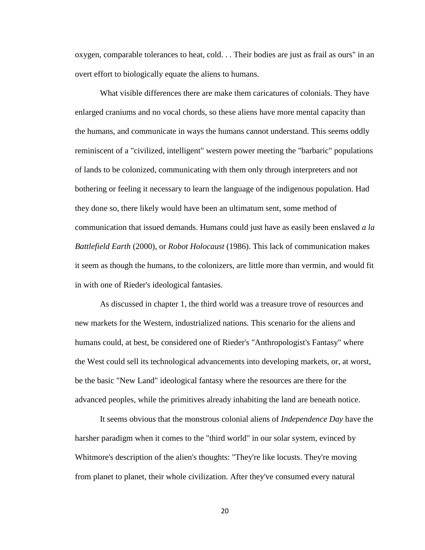oxygen, comparable tolerances to heat, cold. . . Their bodies are just as frail as ours" in an overt effort to biologically equate the aliens to humans.

What visible differences there are make them caricatures of colonials. They have enlarged craniums and no vocal chords, so these aliens have more mental capacity than the humans, and communicate in ways the humans cannot understand. This seems oddly reminiscent of a "civilized, intelligent" western power meeting the "barbaric" populations of lands to be colonized, communicating with them only through interpreters and not bothering or feeling it necessary to learn the language of the indigenous population. Had they done so, there likely would have been an ultimatum sent, some method of communication that issued demands. Humans could just have as easily been enslaved *a la Battlefield Earth* (2000), or *Robot Holocaust* (1986). This lack of communication makes it seem as though the humans, to the colonizers, are little more than vermin, and would fit in with one of Rieder's ideological fantasies.

As discussed in chapter 1, the third world was a treasure trove of resources and new markets for the Western, industrialized nations. This scenario for the aliens and humans could, at best, be considered one of Rieder's "Anthropologist's Fantasy" where the West could sell its technological advancements into developing markets, or, at worst, be the basic "New Land" ideological fantasy where the resources are there for the advanced peoples, while the primitives already inhabiting the land are beneath notice.

It seems obvious that the monstrous colonial aliens of *Independence Day* have the harsher paradigm when it comes to the "third world" in our solar system, evinced by Whitmore's description of the alien's thoughts: "They're like locusts. They're moving from planet to planet, their whole civilization. After they've consumed every natural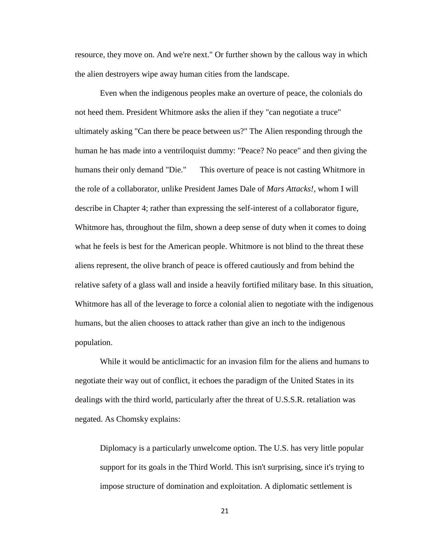resource, they move on. And we're next." Or further shown by the callous way in which the alien destroyers wipe away human cities from the landscape.

Even when the indigenous peoples make an overture of peace, the colonials do not heed them. President Whitmore asks the alien if they "can negotiate a truce" ultimately asking "Can there be peace between us?" The Alien responding through the human he has made into a ventriloquist dummy: "Peace? No peace" and then giving the humans their only demand "Die." This overture of peace is not casting Whitmore in the role of a collaborator, unlike President James Dale of *Mars Attacks!*, whom I will describe in Chapter 4; rather than expressing the self-interest of a collaborator figure, Whitmore has, throughout the film, shown a deep sense of duty when it comes to doing what he feels is best for the American people. Whitmore is not blind to the threat these aliens represent, the olive branch of peace is offered cautiously and from behind the relative safety of a glass wall and inside a heavily fortified military base. In this situation, Whitmore has all of the leverage to force a colonial alien to negotiate with the indigenous humans, but the alien chooses to attack rather than give an inch to the indigenous population.

While it would be anticlimactic for an invasion film for the aliens and humans to negotiate their way out of conflict, it echoes the paradigm of the United States in its dealings with the third world, particularly after the threat of U.S.S.R. retaliation was negated. As Chomsky explains:

Diplomacy is a particularly unwelcome option. The U.S. has very little popular support for its goals in the Third World. This isn't surprising, since it's trying to impose structure of domination and exploitation. A diplomatic settlement is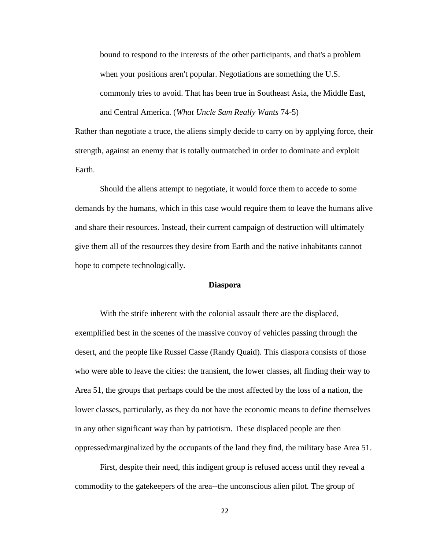bound to respond to the interests of the other participants, and that's a problem when your positions aren't popular. Negotiations are something the U.S. commonly tries to avoid. That has been true in Southeast Asia, the Middle East, and Central America. (*What Uncle Sam Really Wants* 74-5)

Rather than negotiate a truce, the aliens simply decide to carry on by applying force, their strength, against an enemy that is totally outmatched in order to dominate and exploit Earth.

Should the aliens attempt to negotiate, it would force them to accede to some demands by the humans, which in this case would require them to leave the humans alive and share their resources. Instead, their current campaign of destruction will ultimately give them all of the resources they desire from Earth and the native inhabitants cannot hope to compete technologically.

#### **Diaspora**

With the strife inherent with the colonial assault there are the displaced, exemplified best in the scenes of the massive convoy of vehicles passing through the desert, and the people like Russel Casse (Randy Quaid). This diaspora consists of those who were able to leave the cities: the transient, the lower classes, all finding their way to Area 51, the groups that perhaps could be the most affected by the loss of a nation, the lower classes, particularly, as they do not have the economic means to define themselves in any other significant way than by patriotism. These displaced people are then oppressed/marginalized by the occupants of the land they find, the military base Area 51.

First, despite their need, this indigent group is refused access until they reveal a commodity to the gatekeepers of the area--the unconscious alien pilot. The group of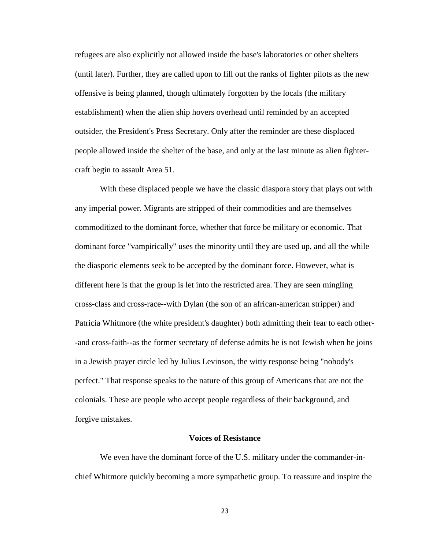refugees are also explicitly not allowed inside the base's laboratories or other shelters (until later). Further, they are called upon to fill out the ranks of fighter pilots as the new offensive is being planned, though ultimately forgotten by the locals (the military establishment) when the alien ship hovers overhead until reminded by an accepted outsider, the President's Press Secretary. Only after the reminder are these displaced people allowed inside the shelter of the base, and only at the last minute as alien fightercraft begin to assault Area 51.

With these displaced people we have the classic diaspora story that plays out with any imperial power. Migrants are stripped of their commodities and are themselves commoditized to the dominant force, whether that force be military or economic. That dominant force "vampirically" uses the minority until they are used up, and all the while the diasporic elements seek to be accepted by the dominant force. However, what is different here is that the group is let into the restricted area. They are seen mingling cross-class and cross-race--with Dylan (the son of an african-american stripper) and Patricia Whitmore (the white president's daughter) both admitting their fear to each other- -and cross-faith--as the former secretary of defense admits he is not Jewish when he joins in a Jewish prayer circle led by Julius Levinson, the witty response being "nobody's perfect." That response speaks to the nature of this group of Americans that are not the colonials. These are people who accept people regardless of their background, and forgive mistakes.

#### **Voices of Resistance**

We even have the dominant force of the U.S. military under the commander-inchief Whitmore quickly becoming a more sympathetic group. To reassure and inspire the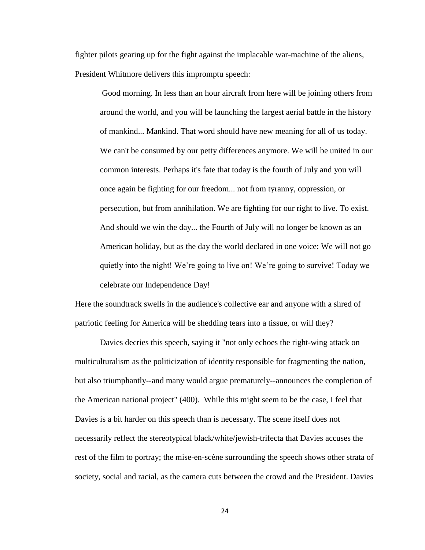fighter pilots gearing up for the fight against the implacable war-machine of the aliens, President Whitmore delivers this impromptu speech:

Good morning. In less than an hour aircraft from here will be joining others from around the world, and you will be launching the largest aerial battle in the history of mankind... Mankind. That word should have new meaning for all of us today. We can't be consumed by our petty differences anymore. We will be united in our common interests. Perhaps it's fate that today is the fourth of July and you will once again be fighting for our freedom... not from tyranny, oppression, or persecution, but from annihilation. We are fighting for our right to live. To exist. And should we win the day... the Fourth of July will no longer be known as an American holiday, but as the day the world declared in one voice: We will not go quietly into the night! We're going to live on! We're going to survive! Today we celebrate our Independence Day!

Here the soundtrack swells in the audience's collective ear and anyone with a shred of patriotic feeling for America will be shedding tears into a tissue, or will they?

Davies decries this speech, saying it "not only echoes the right-wing attack on multiculturalism as the politicization of identity responsible for fragmenting the nation, but also triumphantly--and many would argue prematurely--announces the completion of the American national project" (400). While this might seem to be the case, I feel that Davies is a bit harder on this speech than is necessary. The scene itself does not necessarily reflect the stereotypical black/white/jewish-trifecta that Davies accuses the rest of the film to portray; the mise-en-scène surrounding the speech shows other strata of society, social and racial, as the camera cuts between the crowd and the President. Davies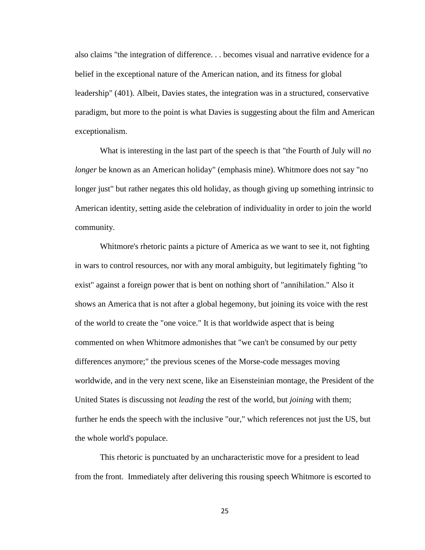also claims "the integration of difference. . . becomes visual and narrative evidence for a belief in the exceptional nature of the American nation, and its fitness for global leadership" (401). Albeit, Davies states, the integration was in a structured, conservative paradigm, but more to the point is what Davies is suggesting about the film and American exceptionalism.

What is interesting in the last part of the speech is that "the Fourth of July will *no longer* be known as an American holiday" (emphasis mine). Whitmore does not say "no longer just" but rather negates this old holiday, as though giving up something intrinsic to American identity, setting aside the celebration of individuality in order to join the world community.

Whitmore's rhetoric paints a picture of America as we want to see it, not fighting in wars to control resources, nor with any moral ambiguity, but legitimately fighting "to exist" against a foreign power that is bent on nothing short of "annihilation." Also it shows an America that is not after a global hegemony, but joining its voice with the rest of the world to create the "one voice." It is that worldwide aspect that is being commented on when Whitmore admonishes that "we can't be consumed by our petty differences anymore;" the previous scenes of the Morse-code messages moving worldwide, and in the very next scene, like an Eisensteinian montage, the President of the United States is discussing not *leading* the rest of the world, but *joining* with them; further he ends the speech with the inclusive "our," which references not just the US, but the whole world's populace.

This rhetoric is punctuated by an uncharacteristic move for a president to lead from the front. Immediately after delivering this rousing speech Whitmore is escorted to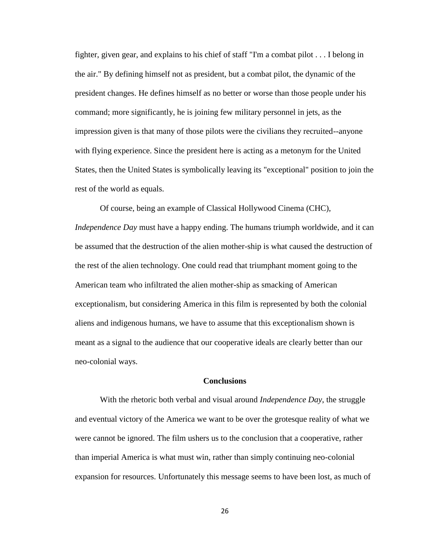fighter, given gear, and explains to his chief of staff "I'm a combat pilot . . . I belong in the air." By defining himself not as president, but a combat pilot, the dynamic of the president changes. He defines himself as no better or worse than those people under his command; more significantly, he is joining few military personnel in jets, as the impression given is that many of those pilots were the civilians they recruited--anyone with flying experience. Since the president here is acting as a metonym for the United States, then the United States is symbolically leaving its "exceptional" position to join the rest of the world as equals.

Of course, being an example of Classical Hollywood Cinema (CHC), *Independence Day* must have a happy ending. The humans triumph worldwide, and it can be assumed that the destruction of the alien mother-ship is what caused the destruction of the rest of the alien technology. One could read that triumphant moment going to the American team who infiltrated the alien mother-ship as smacking of American exceptionalism, but considering America in this film is represented by both the colonial aliens and indigenous humans, we have to assume that this exceptionalism shown is meant as a signal to the audience that our cooperative ideals are clearly better than our neo-colonial ways.

#### **Conclusions**

With the rhetoric both verbal and visual around *Independence Day*, the struggle and eventual victory of the America we want to be over the grotesque reality of what we were cannot be ignored. The film ushers us to the conclusion that a cooperative, rather than imperial America is what must win, rather than simply continuing neo-colonial expansion for resources. Unfortunately this message seems to have been lost, as much of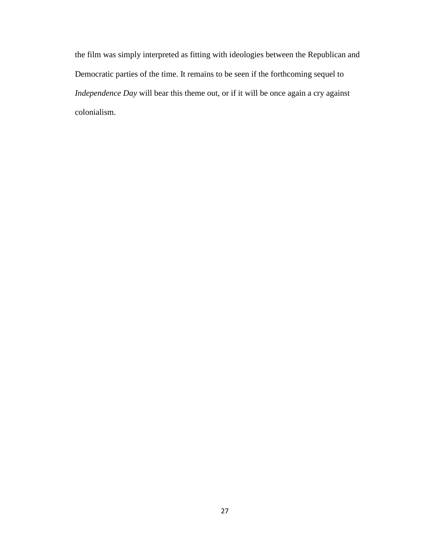the film was simply interpreted as fitting with ideologies between the Republican and Democratic parties of the time. It remains to be seen if the forthcoming sequel to *Independence Day* will bear this theme out, or if it will be once again a cry against colonialism.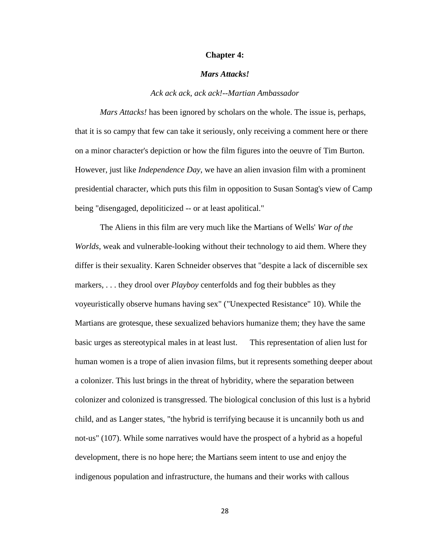#### **Chapter 4:**

#### *Mars Attacks!*

#### *Ack ack ack, ack ack!--Martian Ambassador*

*Mars Attacks!* has been ignored by scholars on the whole. The issue is, perhaps, that it is so campy that few can take it seriously, only receiving a comment here or there on a minor character's depiction or how the film figures into the oeuvre of Tim Burton. However, just like *Independence Day*, we have an alien invasion film with a prominent presidential character, which puts this film in opposition to Susan Sontag's view of Camp being "disengaged, depoliticized -- or at least apolitical."

The Aliens in this film are very much like the Martians of Wells' *War of the Worlds*, weak and vulnerable-looking without their technology to aid them. Where they differ is their sexuality. Karen Schneider observes that "despite a lack of discernible sex markers, . . . they drool over *Playboy* centerfolds and fog their bubbles as they voyeuristically observe humans having sex" ("Unexpected Resistance" 10). While the Martians are grotesque, these sexualized behaviors humanize them; they have the same basic urges as stereotypical males in at least lust. This representation of alien lust for human women is a trope of alien invasion films, but it represents something deeper about a colonizer. This lust brings in the threat of hybridity, where the separation between colonizer and colonized is transgressed. The biological conclusion of this lust is a hybrid child, and as Langer states, "the hybrid is terrifying because it is uncannily both us and not-us" (107). While some narratives would have the prospect of a hybrid as a hopeful development, there is no hope here; the Martians seem intent to use and enjoy the indigenous population and infrastructure, the humans and their works with callous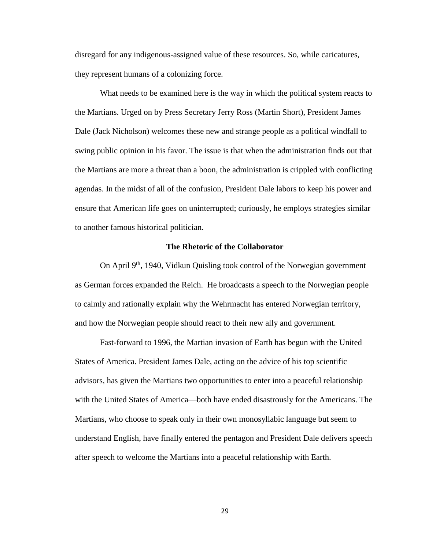disregard for any indigenous-assigned value of these resources. So, while caricatures, they represent humans of a colonizing force.

What needs to be examined here is the way in which the political system reacts to the Martians. Urged on by Press Secretary Jerry Ross (Martin Short), President James Dale (Jack Nicholson) welcomes these new and strange people as a political windfall to swing public opinion in his favor. The issue is that when the administration finds out that the Martians are more a threat than a boon, the administration is crippled with conflicting agendas. In the midst of all of the confusion, President Dale labors to keep his power and ensure that American life goes on uninterrupted; curiously, he employs strategies similar to another famous historical politician.

#### **The Rhetoric of the Collaborator**

On April 9<sup>th</sup>, 1940, Vidkun Quisling took control of the Norwegian government as German forces expanded the Reich. He broadcasts a speech to the Norwegian people to calmly and rationally explain why the Wehrmacht has entered Norwegian territory, and how the Norwegian people should react to their new ally and government.

Fast-forward to 1996, the Martian invasion of Earth has begun with the United States of America. President James Dale, acting on the advice of his top scientific advisors, has given the Martians two opportunities to enter into a peaceful relationship with the United States of America—both have ended disastrously for the Americans. The Martians, who choose to speak only in their own monosyllabic language but seem to understand English, have finally entered the pentagon and President Dale delivers speech after speech to welcome the Martians into a peaceful relationship with Earth.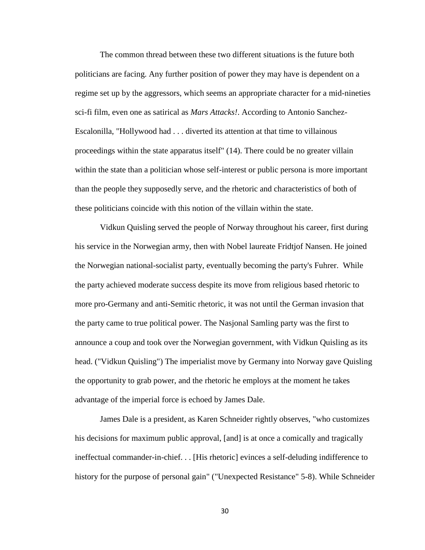The common thread between these two different situations is the future both politicians are facing. Any further position of power they may have is dependent on a regime set up by the aggressors, which seems an appropriate character for a mid-nineties sci-fi film, even one as satirical as *Mars Attacks!*. According to Antonio Sanchez-Escalonilla, "Hollywood had . . . diverted its attention at that time to villainous proceedings within the state apparatus itself" (14). There could be no greater villain within the state than a politician whose self-interest or public persona is more important than the people they supposedly serve, and the rhetoric and characteristics of both of these politicians coincide with this notion of the villain within the state.

Vidkun Quisling served the people of Norway throughout his career, first during his service in the Norwegian army, then with Nobel laureate Fridtjof Nansen. He joined the Norwegian national-socialist party, eventually becoming the party's Fuhrer. While the party achieved moderate success despite its move from religious based rhetoric to more pro-Germany and anti-Semitic rhetoric, it was not until the German invasion that the party came to true political power. The Nasjonal Samling party was the first to announce a coup and took over the Norwegian government, with Vidkun Quisling as its head. ("Vidkun Quisling") The imperialist move by Germany into Norway gave Quisling the opportunity to grab power, and the rhetoric he employs at the moment he takes advantage of the imperial force is echoed by James Dale.

James Dale is a president, as Karen Schneider rightly observes, "who customizes his decisions for maximum public approval, [and] is at once a comically and tragically ineffectual commander-in-chief. . . [His rhetoric] evinces a self-deluding indifference to history for the purpose of personal gain" ("Unexpected Resistance" 5-8). While Schneider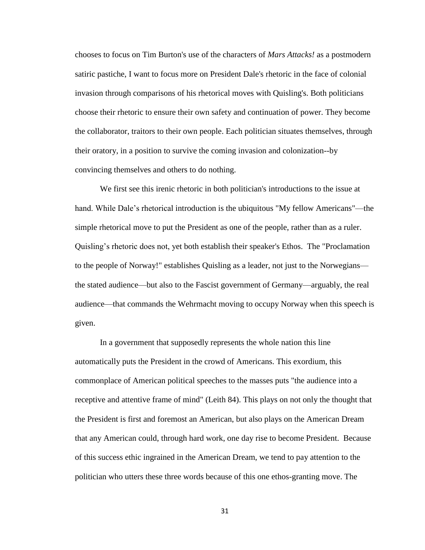chooses to focus on Tim Burton's use of the characters of *Mars Attacks!* as a postmodern satiric pastiche, I want to focus more on President Dale's rhetoric in the face of colonial invasion through comparisons of his rhetorical moves with Quisling's. Both politicians choose their rhetoric to ensure their own safety and continuation of power. They become the collaborator, traitors to their own people. Each politician situates themselves, through their oratory, in a position to survive the coming invasion and colonization--by convincing themselves and others to do nothing.

We first see this irenic rhetoric in both politician's introductions to the issue at hand. While Dale's rhetorical introduction is the ubiquitous "My fellow Americans"—the simple rhetorical move to put the President as one of the people, rather than as a ruler. Quisling's rhetoric does not, yet both establish their speaker's Ethos. The "Proclamation to the people of Norway!" establishes Quisling as a leader, not just to the Norwegians the stated audience—but also to the Fascist government of Germany—arguably, the real audience—that commands the Wehrmacht moving to occupy Norway when this speech is given.

In a government that supposedly represents the whole nation this line automatically puts the President in the crowd of Americans. This exordium, this commonplace of American political speeches to the masses puts "the audience into a receptive and attentive frame of mind" (Leith 84). This plays on not only the thought that the President is first and foremost an American, but also plays on the American Dream that any American could, through hard work, one day rise to become President. Because of this success ethic ingrained in the American Dream, we tend to pay attention to the politician who utters these three words because of this one ethos-granting move. The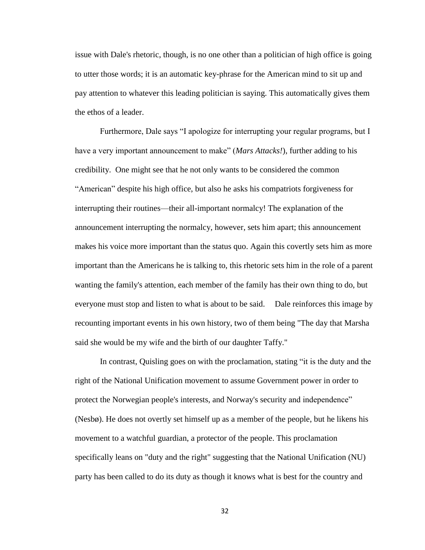issue with Dale's rhetoric, though, is no one other than a politician of high office is going to utter those words; it is an automatic key-phrase for the American mind to sit up and pay attention to whatever this leading politician is saying. This automatically gives them the ethos of a leader.

Furthermore, Dale says "I apologize for interrupting your regular programs, but I have a very important announcement to make" (*Mars Attacks!*), further adding to his credibility. One might see that he not only wants to be considered the common "American" despite his high office, but also he asks his compatriots forgiveness for interrupting their routines—their all-important normalcy! The explanation of the announcement interrupting the normalcy, however, sets him apart; this announcement makes his voice more important than the status quo. Again this covertly sets him as more important than the Americans he is talking to, this rhetoric sets him in the role of a parent wanting the family's attention, each member of the family has their own thing to do, but everyone must stop and listen to what is about to be said. Dale reinforces this image by recounting important events in his own history, two of them being "The day that Marsha said she would be my wife and the birth of our daughter Taffy."

In contrast, Quisling goes on with the proclamation, stating "it is the duty and the right of the National Unification movement to assume Government power in order to protect the Norwegian people's interests, and Norway's security and independence" (Nesbø). He does not overtly set himself up as a member of the people, but he likens his movement to a watchful guardian, a protector of the people. This proclamation specifically leans on "duty and the right" suggesting that the National Unification (NU) party has been called to do its duty as though it knows what is best for the country and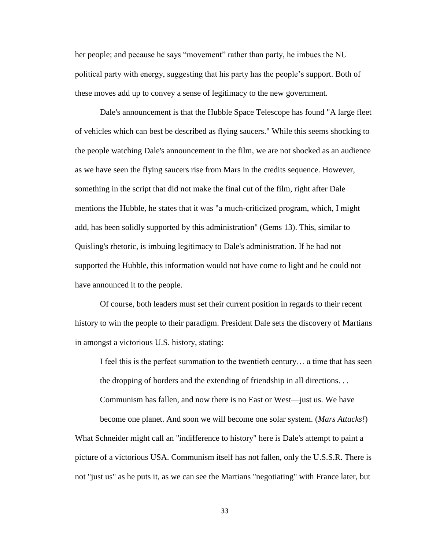her people; and pecause he says "movement" rather than party, he imbues the NU political party with energy, suggesting that his party has the people's support. Both of these moves add up to convey a sense of legitimacy to the new government.

Dale's announcement is that the Hubble Space Telescope has found "A large fleet of vehicles which can best be described as flying saucers." While this seems shocking to the people watching Dale's announcement in the film, we are not shocked as an audience as we have seen the flying saucers rise from Mars in the credits sequence. However, something in the script that did not make the final cut of the film, right after Dale mentions the Hubble, he states that it was "a much-criticized program, which, I might add, has been solidly supported by this administration" (Gems 13). This, similar to Quisling's rhetoric, is imbuing legitimacy to Dale's administration. If he had not supported the Hubble, this information would not have come to light and he could not have announced it to the people.

Of course, both leaders must set their current position in regards to their recent history to win the people to their paradigm. President Dale sets the discovery of Martians in amongst a victorious U.S. history, stating:

I feel this is the perfect summation to the twentieth century… a time that has seen the dropping of borders and the extending of friendship in all directions. . . Communism has fallen, and now there is no East or West—just us. We have

become one planet. And soon we will become one solar system. (*Mars Attacks!*) What Schneider might call an "indifference to history" here is Dale's attempt to paint a picture of a victorious USA. Communism itself has not fallen, only the U.S.S.R. There is not "just us" as he puts it, as we can see the Martians "negotiating" with France later, but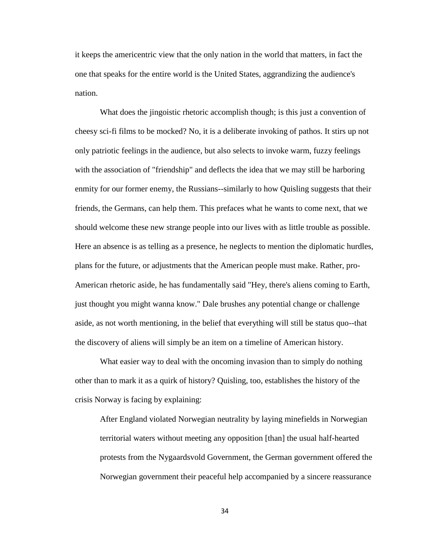it keeps the americentric view that the only nation in the world that matters, in fact the one that speaks for the entire world is the United States, aggrandizing the audience's nation.

What does the jingoistic rhetoric accomplish though; is this just a convention of cheesy sci-fi films to be mocked? No, it is a deliberate invoking of pathos. It stirs up not only patriotic feelings in the audience, but also selects to invoke warm, fuzzy feelings with the association of "friendship" and deflects the idea that we may still be harboring enmity for our former enemy, the Russians--similarly to how Quisling suggests that their friends, the Germans, can help them. This prefaces what he wants to come next, that we should welcome these new strange people into our lives with as little trouble as possible. Here an absence is as telling as a presence, he neglects to mention the diplomatic hurdles, plans for the future, or adjustments that the American people must make. Rather, pro-American rhetoric aside, he has fundamentally said "Hey, there's aliens coming to Earth, just thought you might wanna know." Dale brushes any potential change or challenge aside, as not worth mentioning, in the belief that everything will still be status quo--that the discovery of aliens will simply be an item on a timeline of American history.

What easier way to deal with the oncoming invasion than to simply do nothing other than to mark it as a quirk of history? Quisling, too, establishes the history of the crisis Norway is facing by explaining:

After England violated Norwegian neutrality by laying minefields in Norwegian territorial waters without meeting any opposition [than] the usual half-hearted protests from the Nygaardsvold Government, the German government offered the Norwegian government their peaceful help accompanied by a sincere reassurance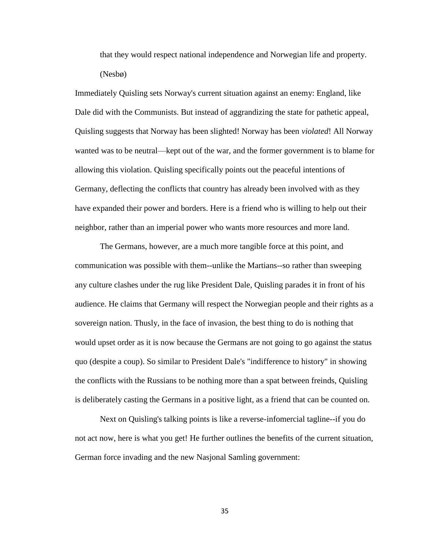that they would respect national independence and Norwegian life and property. (Nesbø)

Immediately Quisling sets Norway's current situation against an enemy: England, like Dale did with the Communists. But instead of aggrandizing the state for pathetic appeal, Quisling suggests that Norway has been slighted! Norway has been *violated*! All Norway wanted was to be neutral—kept out of the war, and the former government is to blame for allowing this violation. Quisling specifically points out the peaceful intentions of Germany, deflecting the conflicts that country has already been involved with as they have expanded their power and borders. Here is a friend who is willing to help out their neighbor, rather than an imperial power who wants more resources and more land.

The Germans, however, are a much more tangible force at this point, and communication was possible with them--unlike the Martians--so rather than sweeping any culture clashes under the rug like President Dale, Quisling parades it in front of his audience. He claims that Germany will respect the Norwegian people and their rights as a sovereign nation. Thusly, in the face of invasion, the best thing to do is nothing that would upset order as it is now because the Germans are not going to go against the status quo (despite a coup). So similar to President Dale's "indifference to history" in showing the conflicts with the Russians to be nothing more than a spat between freinds, Quisling is deliberately casting the Germans in a positive light, as a friend that can be counted on.

Next on Quisling's talking points is like a reverse-infomercial tagline--if you do not act now, here is what you get! He further outlines the benefits of the current situation, German force invading and the new Nasjonal Samling government: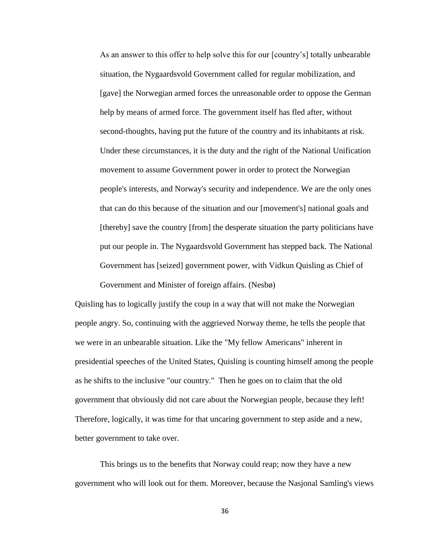As an answer to this offer to help solve this for our [country's] totally unbearable situation, the Nygaardsvold Government called for regular mobilization, and [gave] the Norwegian armed forces the unreasonable order to oppose the German help by means of armed force. The government itself has fled after, without second-thoughts, having put the future of the country and its inhabitants at risk. Under these circumstances, it is the duty and the right of the National Unification movement to assume Government power in order to protect the Norwegian people's interests, and Norway's security and independence. We are the only ones that can do this because of the situation and our [movement's] national goals and [thereby] save the country [from] the desperate situation the party politicians have put our people in. The Nygaardsvold Government has stepped back. The National Government has [seized] government power, with Vidkun Quisling as Chief of Government and Minister of foreign affairs. (Nesbø)

Quisling has to logically justify the coup in a way that will not make the Norwegian people angry. So, continuing with the aggrieved Norway theme, he tells the people that we were in an unbearable situation. Like the "My fellow Americans" inherent in presidential speeches of the United States, Quisling is counting himself among the people as he shifts to the inclusive "our country." Then he goes on to claim that the old government that obviously did not care about the Norwegian people, because they left! Therefore, logically, it was time for that uncaring government to step aside and a new, better government to take over.

This brings us to the benefits that Norway could reap; now they have a new government who will look out for them. Moreover, because the Nasjonal Samling's views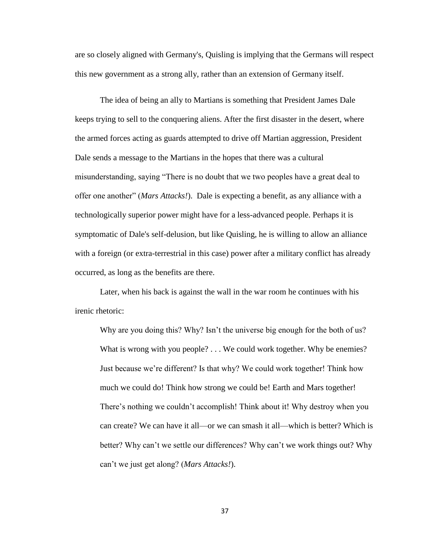are so closely aligned with Germany's, Quisling is implying that the Germans will respect this new government as a strong ally, rather than an extension of Germany itself.

The idea of being an ally to Martians is something that President James Dale keeps trying to sell to the conquering aliens. After the first disaster in the desert, where the armed forces acting as guards attempted to drive off Martian aggression, President Dale sends a message to the Martians in the hopes that there was a cultural misunderstanding, saying "There is no doubt that we two peoples have a great deal to offer one another" (*Mars Attacks!*). Dale is expecting a benefit, as any alliance with a technologically superior power might have for a less-advanced people. Perhaps it is symptomatic of Dale's self-delusion, but like Quisling, he is willing to allow an alliance with a foreign (or extra-terrestrial in this case) power after a military conflict has already occurred, as long as the benefits are there.

Later, when his back is against the wall in the war room he continues with his irenic rhetoric:

Why are you doing this? Why? Isn't the universe big enough for the both of us? What is wrong with you people? . . . We could work together. Why be enemies? Just because we're different? Is that why? We could work together! Think how much we could do! Think how strong we could be! Earth and Mars together! There's nothing we couldn't accomplish! Think about it! Why destroy when you can create? We can have it all—or we can smash it all—which is better? Which is better? Why can't we settle our differences? Why can't we work things out? Why can't we just get along? (*Mars Attacks!*).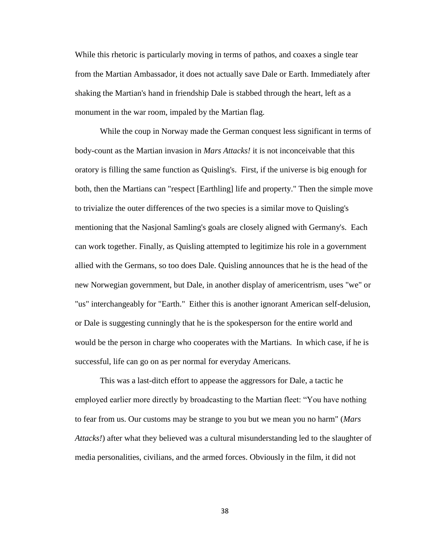While this rhetoric is particularly moving in terms of pathos, and coaxes a single tear from the Martian Ambassador, it does not actually save Dale or Earth. Immediately after shaking the Martian's hand in friendship Dale is stabbed through the heart, left as a monument in the war room, impaled by the Martian flag.

While the coup in Norway made the German conquest less significant in terms of body-count as the Martian invasion in *Mars Attacks!* it is not inconceivable that this oratory is filling the same function as Quisling's. First, if the universe is big enough for both, then the Martians can "respect [Earthling] life and property." Then the simple move to trivialize the outer differences of the two species is a similar move to Quisling's mentioning that the Nasjonal Samling's goals are closely aligned with Germany's. Each can work together. Finally, as Quisling attempted to legitimize his role in a government allied with the Germans, so too does Dale. Quisling announces that he is the head of the new Norwegian government, but Dale, in another display of americentrism, uses "we" or "us" interchangeably for "Earth." Either this is another ignorant American self-delusion, or Dale is suggesting cunningly that he is the spokesperson for the entire world and would be the person in charge who cooperates with the Martians. In which case, if he is successful, life can go on as per normal for everyday Americans.

This was a last-ditch effort to appease the aggressors for Dale, a tactic he employed earlier more directly by broadcasting to the Martian fleet: "You have nothing to fear from us. Our customs may be strange to you but we mean you no harm" (*Mars Attacks!*) after what they believed was a cultural misunderstanding led to the slaughter of media personalities, civilians, and the armed forces. Obviously in the film, it did not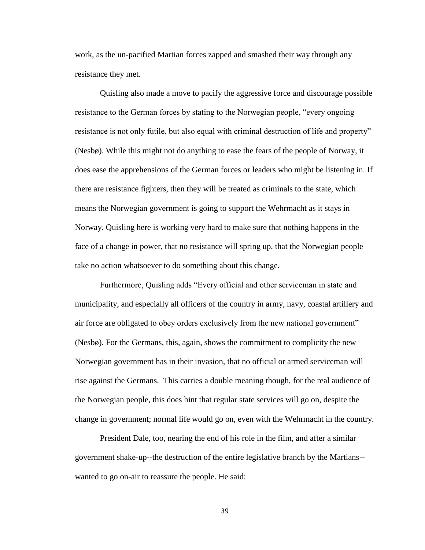work, as the un-pacified Martian forces zapped and smashed their way through any resistance they met.

Quisling also made a move to pacify the aggressive force and discourage possible resistance to the German forces by stating to the Norwegian people, "every ongoing resistance is not only futile, but also equal with criminal destruction of life and property" (Nesbø). While this might not do anything to ease the fears of the people of Norway, it does ease the apprehensions of the German forces or leaders who might be listening in. If there are resistance fighters, then they will be treated as criminals to the state, which means the Norwegian government is going to support the Wehrmacht as it stays in Norway. Quisling here is working very hard to make sure that nothing happens in the face of a change in power, that no resistance will spring up, that the Norwegian people take no action whatsoever to do something about this change.

Furthermore, Quisling adds "Every official and other serviceman in state and municipality, and especially all officers of the country in army, navy, coastal artillery and air force are obligated to obey orders exclusively from the new national government" (Nesbø). For the Germans, this, again, shows the commitment to complicity the new Norwegian government has in their invasion, that no official or armed serviceman will rise against the Germans. This carries a double meaning though, for the real audience of the Norwegian people, this does hint that regular state services will go on, despite the change in government; normal life would go on, even with the Wehrmacht in the country.

President Dale, too, nearing the end of his role in the film, and after a similar government shake-up--the destruction of the entire legislative branch by the Martians- wanted to go on-air to reassure the people. He said: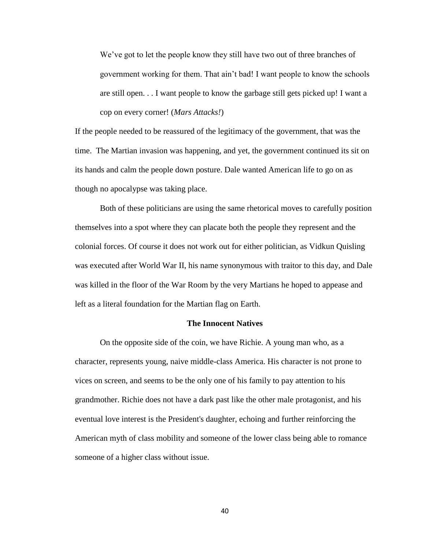We've got to let the people know they still have two out of three branches of government working for them. That ain't bad! I want people to know the schools are still open. . . I want people to know the garbage still gets picked up! I want a cop on every corner! (*Mars Attacks!*)

If the people needed to be reassured of the legitimacy of the government, that was the time. The Martian invasion was happening, and yet, the government continued its sit on its hands and calm the people down posture. Dale wanted American life to go on as though no apocalypse was taking place.

Both of these politicians are using the same rhetorical moves to carefully position themselves into a spot where they can placate both the people they represent and the colonial forces. Of course it does not work out for either politician, as Vidkun Quisling was executed after World War II, his name synonymous with traitor to this day, and Dale was killed in the floor of the War Room by the very Martians he hoped to appease and left as a literal foundation for the Martian flag on Earth.

### **The Innocent Natives**

On the opposite side of the coin, we have Richie. A young man who, as a character, represents young, naive middle-class America. His character is not prone to vices on screen, and seems to be the only one of his family to pay attention to his grandmother. Richie does not have a dark past like the other male protagonist, and his eventual love interest is the President's daughter, echoing and further reinforcing the American myth of class mobility and someone of the lower class being able to romance someone of a higher class without issue.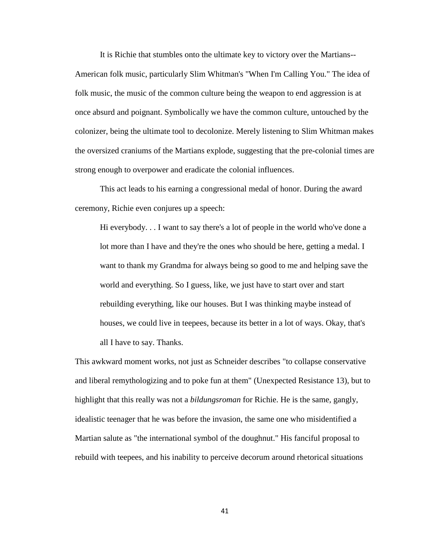It is Richie that stumbles onto the ultimate key to victory over the Martians--

American folk music, particularly Slim Whitman's "When I'm Calling You." The idea of folk music, the music of the common culture being the weapon to end aggression is at once absurd and poignant. Symbolically we have the common culture, untouched by the colonizer, being the ultimate tool to decolonize. Merely listening to Slim Whitman makes the oversized craniums of the Martians explode, suggesting that the pre-colonial times are strong enough to overpower and eradicate the colonial influences.

This act leads to his earning a congressional medal of honor. During the award ceremony, Richie even conjures up a speech:

Hi everybody. . . I want to say there's a lot of people in the world who've done a lot more than I have and they're the ones who should be here, getting a medal. I want to thank my Grandma for always being so good to me and helping save the world and everything. So I guess, like, we just have to start over and start rebuilding everything, like our houses. But I was thinking maybe instead of houses, we could live in teepees, because its better in a lot of ways. Okay, that's all I have to say. Thanks.

This awkward moment works, not just as Schneider describes "to collapse conservative and liberal remythologizing and to poke fun at them" (Unexpected Resistance 13), but to highlight that this really was not a *bildungsroman* for Richie. He is the same, gangly, idealistic teenager that he was before the invasion, the same one who misidentified a Martian salute as "the international symbol of the doughnut." His fanciful proposal to rebuild with teepees, and his inability to perceive decorum around rhetorical situations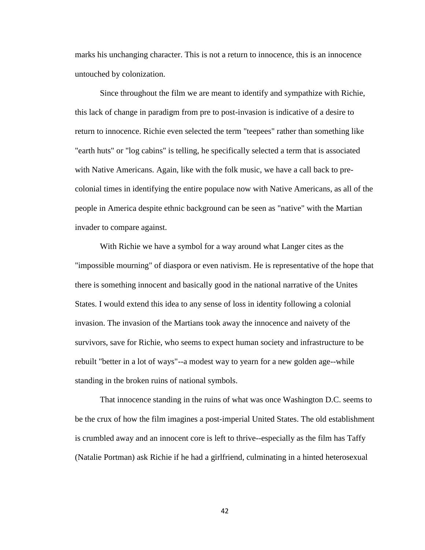marks his unchanging character. This is not a return to innocence, this is an innocence untouched by colonization.

Since throughout the film we are meant to identify and sympathize with Richie, this lack of change in paradigm from pre to post-invasion is indicative of a desire to return to innocence. Richie even selected the term "teepees" rather than something like "earth huts" or "log cabins" is telling, he specifically selected a term that is associated with Native Americans. Again, like with the folk music, we have a call back to precolonial times in identifying the entire populace now with Native Americans, as all of the people in America despite ethnic background can be seen as "native" with the Martian invader to compare against.

With Richie we have a symbol for a way around what Langer cites as the "impossible mourning" of diaspora or even nativism. He is representative of the hope that there is something innocent and basically good in the national narrative of the Unites States. I would extend this idea to any sense of loss in identity following a colonial invasion. The invasion of the Martians took away the innocence and naivety of the survivors, save for Richie, who seems to expect human society and infrastructure to be rebuilt "better in a lot of ways"--a modest way to yearn for a new golden age--while standing in the broken ruins of national symbols.

That innocence standing in the ruins of what was once Washington D.C. seems to be the crux of how the film imagines a post-imperial United States. The old establishment is crumbled away and an innocent core is left to thrive--especially as the film has Taffy (Natalie Portman) ask Richie if he had a girlfriend, culminating in a hinted heterosexual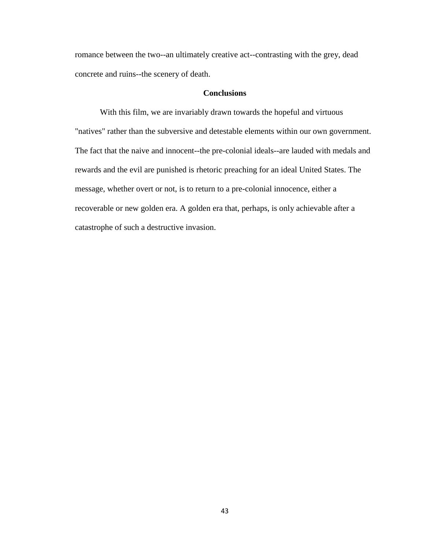romance between the two--an ultimately creative act--contrasting with the grey, dead concrete and ruins--the scenery of death.

# **Conclusions**

With this film, we are invariably drawn towards the hopeful and virtuous "natives" rather than the subversive and detestable elements within our own government. The fact that the naive and innocent--the pre-colonial ideals--are lauded with medals and rewards and the evil are punished is rhetoric preaching for an ideal United States. The message, whether overt or not, is to return to a pre-colonial innocence, either a recoverable or new golden era. A golden era that, perhaps, is only achievable after a catastrophe of such a destructive invasion.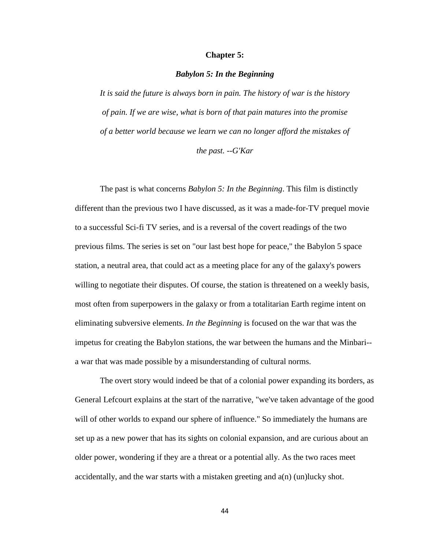# **Chapter 5:**

### *Babylon 5: In the Beginning*

*It is said the future is always born in pain. The history of war is the history of pain. If we are wise, what is born of that pain matures into the promise of a better world because we learn we can no longer afford the mistakes of the past. --G'Kar*

The past is what concerns *Babylon 5: In the Beginning*. This film is distinctly different than the previous two I have discussed, as it was a made-for-TV prequel movie to a successful Sci-fi TV series, and is a reversal of the covert readings of the two previous films. The series is set on "our last best hope for peace," the Babylon 5 space station, a neutral area, that could act as a meeting place for any of the galaxy's powers willing to negotiate their disputes. Of course, the station is threatened on a weekly basis, most often from superpowers in the galaxy or from a totalitarian Earth regime intent on eliminating subversive elements. *In the Beginning* is focused on the war that was the impetus for creating the Babylon stations, the war between the humans and the Minbari- a war that was made possible by a misunderstanding of cultural norms.

The overt story would indeed be that of a colonial power expanding its borders, as General Lefcourt explains at the start of the narrative, "we've taken advantage of the good will of other worlds to expand our sphere of influence." So immediately the humans are set up as a new power that has its sights on colonial expansion, and are curious about an older power, wondering if they are a threat or a potential ally. As the two races meet accidentally, and the war starts with a mistaken greeting and  $a(n)$  (un)lucky shot.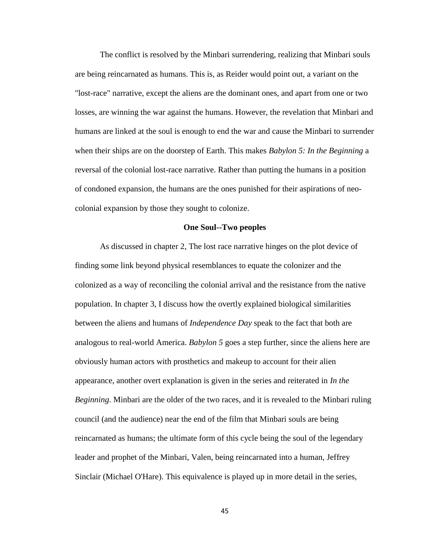The conflict is resolved by the Minbari surrendering, realizing that Minbari souls are being reincarnated as humans. This is, as Reider would point out, a variant on the "lost-race" narrative, except the aliens are the dominant ones, and apart from one or two losses, are winning the war against the humans. However, the revelation that Minbari and humans are linked at the soul is enough to end the war and cause the Minbari to surrender when their ships are on the doorstep of Earth. This makes *Babylon 5: In the Beginning* a reversal of the colonial lost-race narrative. Rather than putting the humans in a position of condoned expansion, the humans are the ones punished for their aspirations of neocolonial expansion by those they sought to colonize.

#### **One Soul--Two peoples**

As discussed in chapter 2, The lost race narrative hinges on the plot device of finding some link beyond physical resemblances to equate the colonizer and the colonized as a way of reconciling the colonial arrival and the resistance from the native population. In chapter 3, I discuss how the overtly explained biological similarities between the aliens and humans of *Independence Day* speak to the fact that both are analogous to real-world America. *Babylon 5* goes a step further, since the aliens here are obviously human actors with prosthetics and makeup to account for their alien appearance, another overt explanation is given in the series and reiterated in *In the Beginning*. Minbari are the older of the two races, and it is revealed to the Minbari ruling council (and the audience) near the end of the film that Minbari souls are being reincarnated as humans; the ultimate form of this cycle being the soul of the legendary leader and prophet of the Minbari, Valen, being reincarnated into a human, Jeffrey Sinclair (Michael O'Hare). This equivalence is played up in more detail in the series,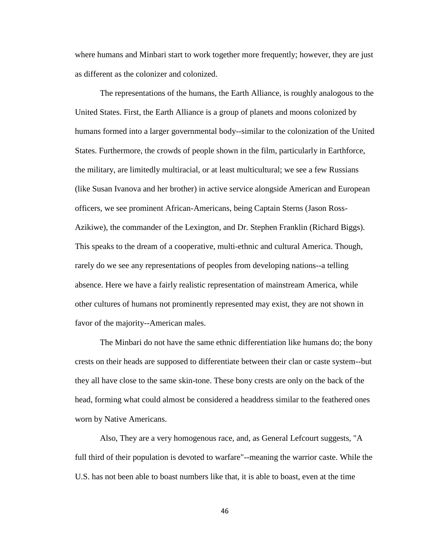where humans and Minbari start to work together more frequently; however, they are just as different as the colonizer and colonized.

The representations of the humans, the Earth Alliance, is roughly analogous to the United States. First, the Earth Alliance is a group of planets and moons colonized by humans formed into a larger governmental body--similar to the colonization of the United States. Furthermore, the crowds of people shown in the film, particularly in Earthforce, the military, are limitedly multiracial, or at least multicultural; we see a few Russians (like Susan Ivanova and her brother) in active service alongside American and European officers, we see prominent African-Americans, being Captain Sterns (Jason Ross-Azikiwe), the commander of the Lexington, and Dr. Stephen Franklin (Richard Biggs). This speaks to the dream of a cooperative, multi-ethnic and cultural America. Though, rarely do we see any representations of peoples from developing nations--a telling absence. Here we have a fairly realistic representation of mainstream America, while other cultures of humans not prominently represented may exist, they are not shown in favor of the majority--American males.

The Minbari do not have the same ethnic differentiation like humans do; the bony crests on their heads are supposed to differentiate between their clan or caste system--but they all have close to the same skin-tone. These bony crests are only on the back of the head, forming what could almost be considered a headdress similar to the feathered ones worn by Native Americans.

Also, They are a very homogenous race, and, as General Lefcourt suggests, "A full third of their population is devoted to warfare"--meaning the warrior caste. While the U.S. has not been able to boast numbers like that, it is able to boast, even at the time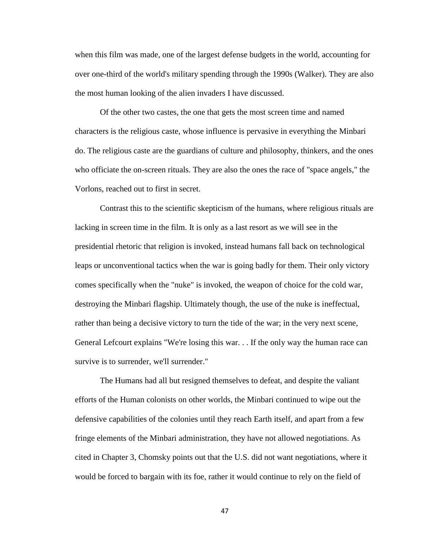when this film was made, one of the largest defense budgets in the world, accounting for over one-third of the world's military spending through the 1990s (Walker). They are also the most human looking of the alien invaders I have discussed.

Of the other two castes, the one that gets the most screen time and named characters is the religious caste, whose influence is pervasive in everything the Minbari do. The religious caste are the guardians of culture and philosophy, thinkers, and the ones who officiate the on-screen rituals. They are also the ones the race of "space angels," the Vorlons, reached out to first in secret.

Contrast this to the scientific skepticism of the humans, where religious rituals are lacking in screen time in the film. It is only as a last resort as we will see in the presidential rhetoric that religion is invoked, instead humans fall back on technological leaps or unconventional tactics when the war is going badly for them. Their only victory comes specifically when the "nuke" is invoked, the weapon of choice for the cold war, destroying the Minbari flagship. Ultimately though, the use of the nuke is ineffectual, rather than being a decisive victory to turn the tide of the war; in the very next scene, General Lefcourt explains "We're losing this war. . . If the only way the human race can survive is to surrender, we'll surrender."

The Humans had all but resigned themselves to defeat, and despite the valiant efforts of the Human colonists on other worlds, the Minbari continued to wipe out the defensive capabilities of the colonies until they reach Earth itself, and apart from a few fringe elements of the Minbari administration, they have not allowed negotiations. As cited in Chapter 3, Chomsky points out that the U.S. did not want negotiations, where it would be forced to bargain with its foe, rather it would continue to rely on the field of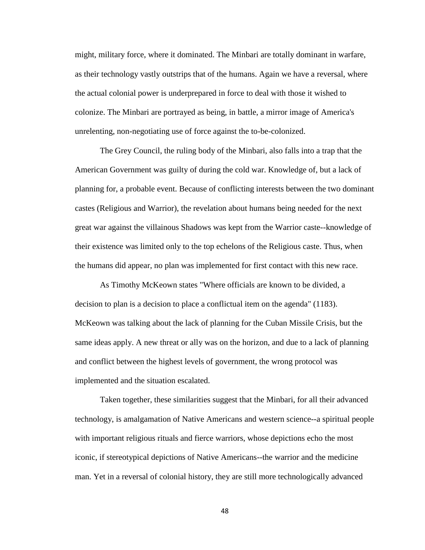might, military force, where it dominated. The Minbari are totally dominant in warfare, as their technology vastly outstrips that of the humans. Again we have a reversal, where the actual colonial power is underprepared in force to deal with those it wished to colonize. The Minbari are portrayed as being, in battle, a mirror image of America's unrelenting, non-negotiating use of force against the to-be-colonized.

The Grey Council, the ruling body of the Minbari, also falls into a trap that the American Government was guilty of during the cold war. Knowledge of, but a lack of planning for, a probable event. Because of conflicting interests between the two dominant castes (Religious and Warrior), the revelation about humans being needed for the next great war against the villainous Shadows was kept from the Warrior caste--knowledge of their existence was limited only to the top echelons of the Religious caste. Thus, when the humans did appear, no plan was implemented for first contact with this new race.

As Timothy McKeown states "Where officials are known to be divided, a decision to plan is a decision to place a conflictual item on the agenda" (1183). McKeown was talking about the lack of planning for the Cuban Missile Crisis, but the same ideas apply. A new threat or ally was on the horizon, and due to a lack of planning and conflict between the highest levels of government, the wrong protocol was implemented and the situation escalated.

Taken together, these similarities suggest that the Minbari, for all their advanced technology, is amalgamation of Native Americans and western science--a spiritual people with important religious rituals and fierce warriors, whose depictions echo the most iconic, if stereotypical depictions of Native Americans--the warrior and the medicine man. Yet in a reversal of colonial history, they are still more technologically advanced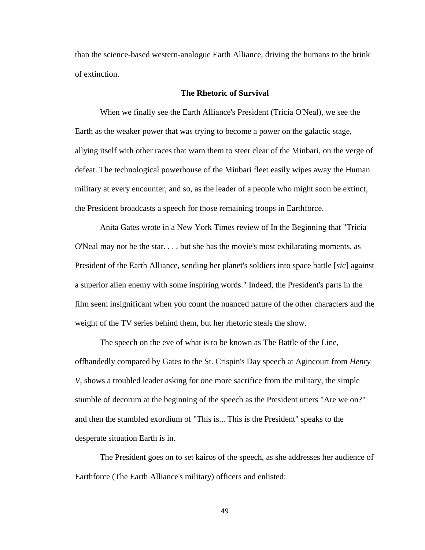than the science-based western-analogue Earth Alliance, driving the humans to the brink of extinction.

# **The Rhetoric of Survival**

When we finally see the Earth Alliance's President (Tricia O'Neal), we see the Earth as the weaker power that was trying to become a power on the galactic stage, allying itself with other races that warn them to steer clear of the Minbari, on the verge of defeat. The technological powerhouse of the Minbari fleet easily wipes away the Human military at every encounter, and so, as the leader of a people who might soon be extinct, the President broadcasts a speech for those remaining troops in Earthforce.

Anita Gates wrote in a New York Times review of In the Beginning that "Tricia O'Neal may not be the star. . . , but she has the movie's most exhilarating moments, as President of the Earth Alliance, sending her planet's soldiers into space battle [*sic*] against a superior alien enemy with some inspiring words." Indeed, the President's parts in the film seem insignificant when you count the nuanced nature of the other characters and the weight of the TV series behind them, but her rhetoric steals the show.

The speech on the eve of what is to be known as The Battle of the Line, offhandedly compared by Gates to the St. Crispin's Day speech at Agincourt from *Henry V*, shows a troubled leader asking for one more sacrifice from the military, the simple stumble of decorum at the beginning of the speech as the President utters "Are we on?" and then the stumbled exordium of "This is... This is the President" speaks to the desperate situation Earth is in.

The President goes on to set kairos of the speech, as she addresses her audience of Earthforce (The Earth Alliance's military) officers and enlisted: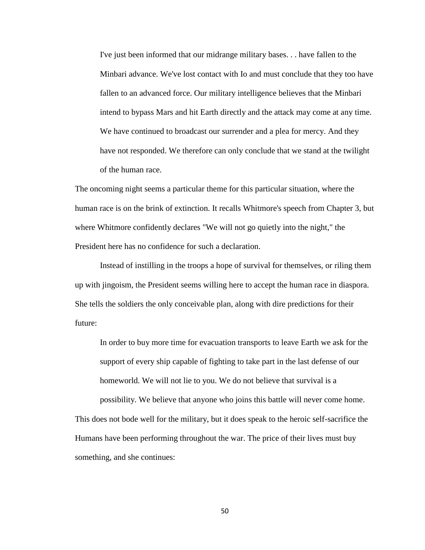I've just been informed that our midrange military bases. . . have fallen to the Minbari advance. We've lost contact with Io and must conclude that they too have fallen to an advanced force. Our military intelligence believes that the Minbari intend to bypass Mars and hit Earth directly and the attack may come at any time. We have continued to broadcast our surrender and a plea for mercy. And they have not responded. We therefore can only conclude that we stand at the twilight of the human race.

The oncoming night seems a particular theme for this particular situation, where the human race is on the brink of extinction. It recalls Whitmore's speech from Chapter 3, but where Whitmore confidently declares "We will not go quietly into the night," the President here has no confidence for such a declaration.

Instead of instilling in the troops a hope of survival for themselves, or riling them up with jingoism, the President seems willing here to accept the human race in diaspora. She tells the soldiers the only conceivable plan, along with dire predictions for their future:

In order to buy more time for evacuation transports to leave Earth we ask for the support of every ship capable of fighting to take part in the last defense of our homeworld. We will not lie to you. We do not believe that survival is a possibility. We believe that anyone who joins this battle will never come home.

This does not bode well for the military, but it does speak to the heroic self-sacrifice the Humans have been performing throughout the war. The price of their lives must buy something, and she continues: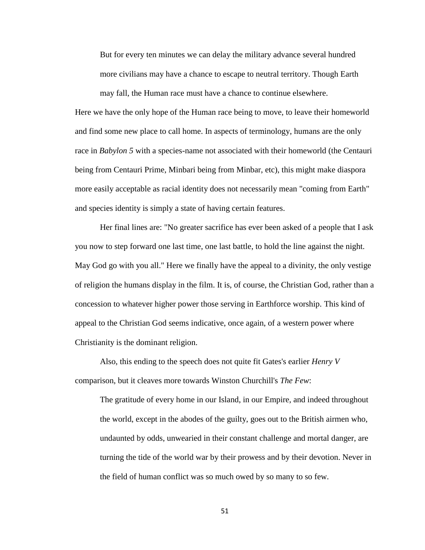But for every ten minutes we can delay the military advance several hundred more civilians may have a chance to escape to neutral territory. Though Earth

may fall, the Human race must have a chance to continue elsewhere.

Here we have the only hope of the Human race being to move, to leave their homeworld and find some new place to call home. In aspects of terminology, humans are the only race in *Babylon* 5 with a species-name not associated with their homeworld (the Centauri being from Centauri Prime, Minbari being from Minbar, etc), this might make diaspora more easily acceptable as racial identity does not necessarily mean "coming from Earth" and species identity is simply a state of having certain features.

Her final lines are: "No greater sacrifice has ever been asked of a people that I ask you now to step forward one last time, one last battle, to hold the line against the night. May God go with you all." Here we finally have the appeal to a divinity, the only vestige of religion the humans display in the film. It is, of course, the Christian God, rather than a concession to whatever higher power those serving in Earthforce worship. This kind of appeal to the Christian God seems indicative, once again, of a western power where Christianity is the dominant religion.

Also, this ending to the speech does not quite fit Gates's earlier *Henry V* comparison, but it cleaves more towards Winston Churchill's *The Few*:

The gratitude of every home in our Island, in our Empire, and indeed throughout the world, except in the abodes of the guilty, goes out to the British airmen who, undaunted by odds, unwearied in their constant challenge and mortal danger, are turning the tide of the world war by their prowess and by their devotion. Never in the field of human conflict was so much owed by so many to so few.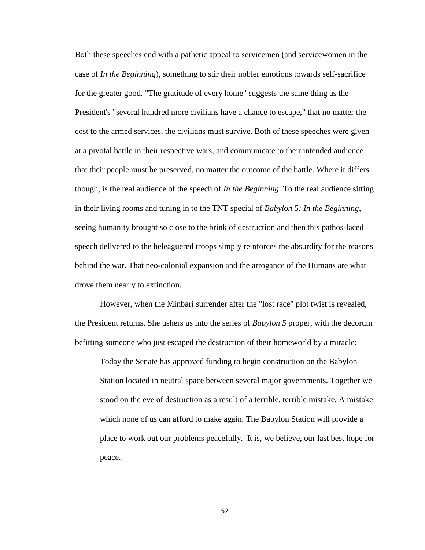Both these speeches end with a pathetic appeal to servicemen (and servicewomen in the case of *In the Beginning*), something to stir their nobler emotions towards self-sacrifice for the greater good. "The gratitude of every home" suggests the same thing as the President's "several hundred more civilians have a chance to escape," that no matter the cost to the armed services, the civilians must survive. Both of these speeches were given at a pivotal battle in their respective wars, and communicate to their intended audience that their people must be preserved, no matter the outcome of the battle. Where it differs though, is the real audience of the speech of *In the Beginning*. To the real audience sitting in their living rooms and tuning in to the TNT special of *Babylon 5: In the Beginning*, seeing humanity brought so close to the brink of destruction and then this pathos-laced speech delivered to the beleaguered troops simply reinforces the absurdity for the reasons behind the war. That neo-colonial expansion and the arrogance of the Humans are what drove them nearly to extinction.

However, when the Minbari surrender after the "lost race" plot twist is revealed, the President returns. She ushers us into the series of *Babylon 5* proper, with the decorum befitting someone who just escaped the destruction of their homeworld by a miracle:

Today the Senate has approved funding to begin construction on the Babylon Station located in neutral space between several major governments. Together we stood on the eve of destruction as a result of a terrible, terrible mistake. A mistake which none of us can afford to make again. The Babylon Station will provide a place to work out our problems peacefully. It is, we believe, our last best hope for peace.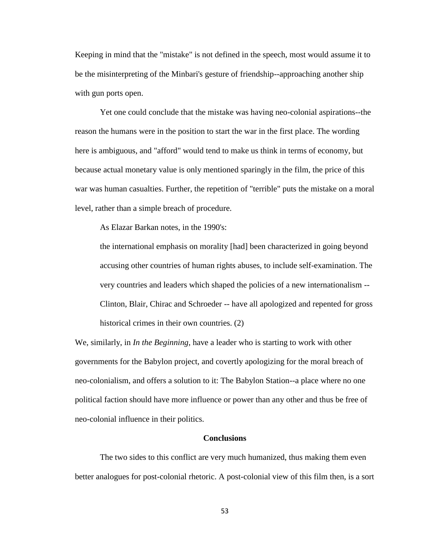Keeping in mind that the "mistake" is not defined in the speech, most would assume it to be the misinterpreting of the Minbari's gesture of friendship--approaching another ship with gun ports open.

Yet one could conclude that the mistake was having neo-colonial aspirations--the reason the humans were in the position to start the war in the first place. The wording here is ambiguous, and "afford" would tend to make us think in terms of economy, but because actual monetary value is only mentioned sparingly in the film, the price of this war was human casualties. Further, the repetition of "terrible" puts the mistake on a moral level, rather than a simple breach of procedure.

As Elazar Barkan notes, in the 1990's:

the international emphasis on morality [had] been characterized in going beyond accusing other countries of human rights abuses, to include self-examination. The very countries and leaders which shaped the policies of a new internationalism -- Clinton, Blair, Chirac and Schroeder -- have all apologized and repented for gross historical crimes in their own countries. (2)

We, similarly, in *In the Beginning*, have a leader who is starting to work with other governments for the Babylon project, and covertly apologizing for the moral breach of neo-colonialism, and offers a solution to it: The Babylon Station--a place where no one political faction should have more influence or power than any other and thus be free of neo-colonial influence in their politics.

#### **Conclusions**

The two sides to this conflict are very much humanized, thus making them even better analogues for post-colonial rhetoric. A post-colonial view of this film then, is a sort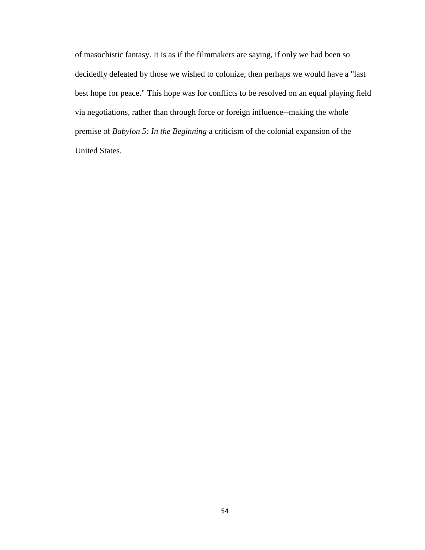of masochistic fantasy. It is as if the filmmakers are saying, if only we had been so decidedly defeated by those we wished to colonize, then perhaps we would have a "last best hope for peace." This hope was for conflicts to be resolved on an equal playing field via negotiations, rather than through force or foreign influence--making the whole premise of *Babylon 5: In the Beginning* a criticism of the colonial expansion of the United States.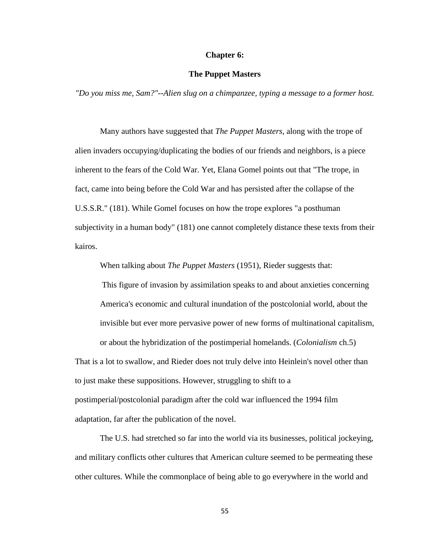#### **Chapter 6:**

# **The Puppet Masters**

*"Do you miss me, Sam?"--Alien slug on a chimpanzee, typing a message to a former host.*

Many authors have suggested that *The Puppet Masters*, along with the trope of alien invaders occupying/duplicating the bodies of our friends and neighbors, is a piece inherent to the fears of the Cold War. Yet, Elana Gomel points out that "The trope, in fact, came into being before the Cold War and has persisted after the collapse of the U.S.S.R." (181). While Gomel focuses on how the trope explores "a posthuman subjectivity in a human body" (181) one cannot completely distance these texts from their kairos.

When talking about *The Puppet Masters* (1951), Rieder suggests that:

This figure of invasion by assimilation speaks to and about anxieties concerning America's economic and cultural inundation of the postcolonial world, about the invisible but ever more pervasive power of new forms of multinational capitalism, or about the hybridization of the postimperial homelands. (*Colonialism* ch.5)

That is a lot to swallow, and Rieder does not truly delve into Heinlein's novel other than to just make these suppositions. However, struggling to shift to a postimperial/postcolonial paradigm after the cold war influenced the 1994 film adaptation, far after the publication of the novel.

The U.S. had stretched so far into the world via its businesses, political jockeying, and military conflicts other cultures that American culture seemed to be permeating these other cultures. While the commonplace of being able to go everywhere in the world and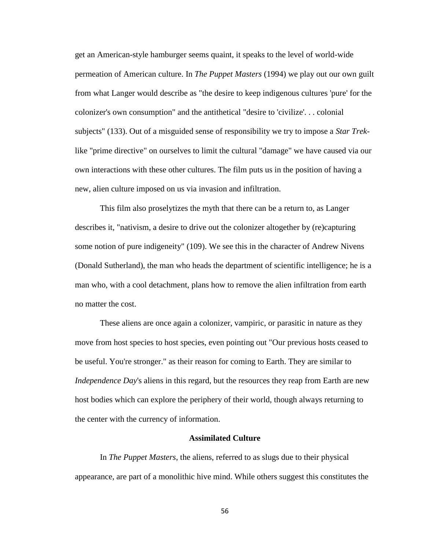get an American-style hamburger seems quaint, it speaks to the level of world-wide permeation of American culture. In *The Puppet Masters* (1994) we play out our own guilt from what Langer would describe as "the desire to keep indigenous cultures 'pure' for the colonizer's own consumption" and the antithetical "desire to 'civilize'. . . colonial subjects" (133). Out of a misguided sense of responsibility we try to impose a *Star Trek*like "prime directive" on ourselves to limit the cultural "damage" we have caused via our own interactions with these other cultures. The film puts us in the position of having a new, alien culture imposed on us via invasion and infiltration.

This film also proselytizes the myth that there can be a return to, as Langer describes it, "nativism, a desire to drive out the colonizer altogether by (re)capturing some notion of pure indigeneity" (109). We see this in the character of Andrew Nivens (Donald Sutherland), the man who heads the department of scientific intelligence; he is a man who, with a cool detachment, plans how to remove the alien infiltration from earth no matter the cost.

These aliens are once again a colonizer, vampiric, or parasitic in nature as they move from host species to host species, even pointing out "Our previous hosts ceased to be useful. You're stronger." as their reason for coming to Earth. They are similar to *Independence Day's* aliens in this regard, but the resources they reap from Earth are new host bodies which can explore the periphery of their world, though always returning to the center with the currency of information.

## **Assimilated Culture**

In *The Puppet Masters*, the aliens, referred to as slugs due to their physical appearance, are part of a monolithic hive mind. While others suggest this constitutes the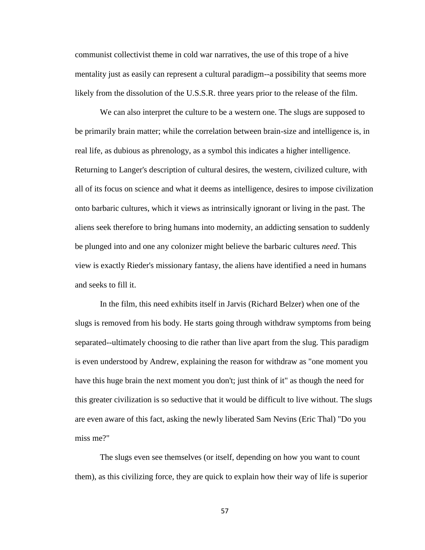communist collectivist theme in cold war narratives, the use of this trope of a hive mentality just as easily can represent a cultural paradigm--a possibility that seems more likely from the dissolution of the U.S.S.R. three years prior to the release of the film.

We can also interpret the culture to be a western one. The slugs are supposed to be primarily brain matter; while the correlation between brain-size and intelligence is, in real life, as dubious as phrenology, as a symbol this indicates a higher intelligence. Returning to Langer's description of cultural desires, the western, civilized culture, with all of its focus on science and what it deems as intelligence, desires to impose civilization onto barbaric cultures, which it views as intrinsically ignorant or living in the past. The aliens seek therefore to bring humans into modernity, an addicting sensation to suddenly be plunged into and one any colonizer might believe the barbaric cultures *need*. This view is exactly Rieder's missionary fantasy, the aliens have identified a need in humans and seeks to fill it.

In the film, this need exhibits itself in Jarvis (Richard Belzer) when one of the slugs is removed from his body. He starts going through withdraw symptoms from being separated--ultimately choosing to die rather than live apart from the slug. This paradigm is even understood by Andrew, explaining the reason for withdraw as "one moment you have this huge brain the next moment you don't; just think of it" as though the need for this greater civilization is so seductive that it would be difficult to live without. The slugs are even aware of this fact, asking the newly liberated Sam Nevins (Eric Thal) "Do you miss me?"

The slugs even see themselves (or itself, depending on how you want to count them), as this civilizing force, they are quick to explain how their way of life is superior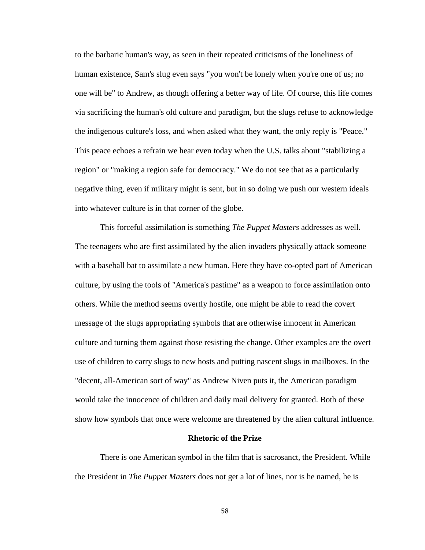to the barbaric human's way, as seen in their repeated criticisms of the loneliness of human existence, Sam's slug even says "you won't be lonely when you're one of us; no one will be" to Andrew, as though offering a better way of life. Of course, this life comes via sacrificing the human's old culture and paradigm, but the slugs refuse to acknowledge the indigenous culture's loss, and when asked what they want, the only reply is "Peace." This peace echoes a refrain we hear even today when the U.S. talks about "stabilizing a region" or "making a region safe for democracy." We do not see that as a particularly negative thing, even if military might is sent, but in so doing we push our western ideals into whatever culture is in that corner of the globe.

This forceful assimilation is something *The Puppet Masters* addresses as well. The teenagers who are first assimilated by the alien invaders physically attack someone with a baseball bat to assimilate a new human. Here they have co-opted part of American culture, by using the tools of "America's pastime" as a weapon to force assimilation onto others. While the method seems overtly hostile, one might be able to read the covert message of the slugs appropriating symbols that are otherwise innocent in American culture and turning them against those resisting the change. Other examples are the overt use of children to carry slugs to new hosts and putting nascent slugs in mailboxes. In the "decent, all-American sort of way" as Andrew Niven puts it, the American paradigm would take the innocence of children and daily mail delivery for granted. Both of these show how symbols that once were welcome are threatened by the alien cultural influence.

## **Rhetoric of the Prize**

There is one American symbol in the film that is sacrosanct, the President. While the President in *The Puppet Masters* does not get a lot of lines, nor is he named, he is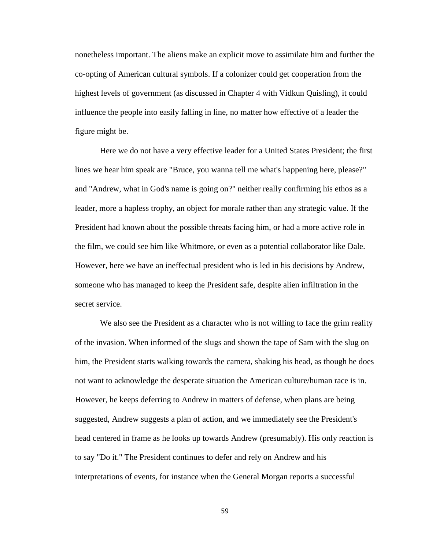nonetheless important. The aliens make an explicit move to assimilate him and further the co-opting of American cultural symbols. If a colonizer could get cooperation from the highest levels of government (as discussed in Chapter 4 with Vidkun Quisling), it could influence the people into easily falling in line, no matter how effective of a leader the figure might be.

Here we do not have a very effective leader for a United States President; the first lines we hear him speak are "Bruce, you wanna tell me what's happening here, please?" and "Andrew, what in God's name is going on?" neither really confirming his ethos as a leader, more a hapless trophy, an object for morale rather than any strategic value. If the President had known about the possible threats facing him, or had a more active role in the film, we could see him like Whitmore, or even as a potential collaborator like Dale. However, here we have an ineffectual president who is led in his decisions by Andrew, someone who has managed to keep the President safe, despite alien infiltration in the secret service.

We also see the President as a character who is not willing to face the grim reality of the invasion. When informed of the slugs and shown the tape of Sam with the slug on him, the President starts walking towards the camera, shaking his head, as though he does not want to acknowledge the desperate situation the American culture/human race is in. However, he keeps deferring to Andrew in matters of defense, when plans are being suggested, Andrew suggests a plan of action, and we immediately see the President's head centered in frame as he looks up towards Andrew (presumably). His only reaction is to say "Do it." The President continues to defer and rely on Andrew and his interpretations of events, for instance when the General Morgan reports a successful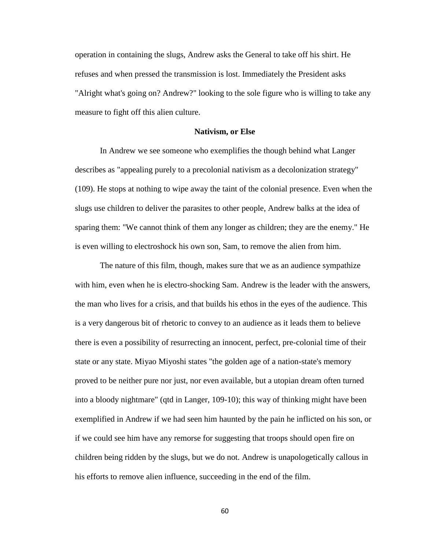operation in containing the slugs, Andrew asks the General to take off his shirt. He refuses and when pressed the transmission is lost. Immediately the President asks "Alright what's going on? Andrew?" looking to the sole figure who is willing to take any measure to fight off this alien culture.

#### **Nativism, or Else**

In Andrew we see someone who exemplifies the though behind what Langer describes as "appealing purely to a precolonial nativism as a decolonization strategy" (109). He stops at nothing to wipe away the taint of the colonial presence. Even when the slugs use children to deliver the parasites to other people, Andrew balks at the idea of sparing them: "We cannot think of them any longer as children; they are the enemy." He is even willing to electroshock his own son, Sam, to remove the alien from him.

The nature of this film, though, makes sure that we as an audience sympathize with him, even when he is electro-shocking Sam. Andrew is the leader with the answers, the man who lives for a crisis, and that builds his ethos in the eyes of the audience. This is a very dangerous bit of rhetoric to convey to an audience as it leads them to believe there is even a possibility of resurrecting an innocent, perfect, pre-colonial time of their state or any state. Miyao Miyoshi states "the golden age of a nation-state's memory proved to be neither pure nor just, nor even available, but a utopian dream often turned into a bloody nightmare" (qtd in Langer, 109-10); this way of thinking might have been exemplified in Andrew if we had seen him haunted by the pain he inflicted on his son, or if we could see him have any remorse for suggesting that troops should open fire on children being ridden by the slugs, but we do not. Andrew is unapologetically callous in his efforts to remove alien influence, succeeding in the end of the film.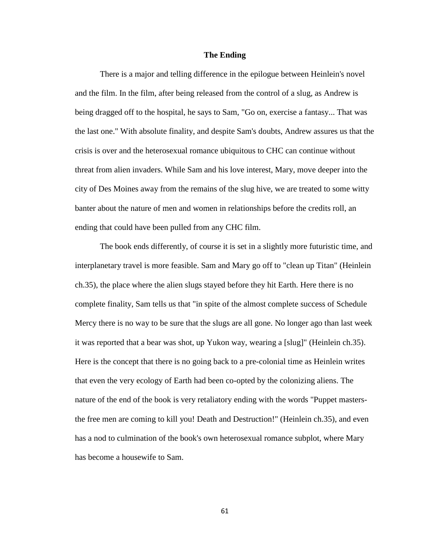# **The Ending**

There is a major and telling difference in the epilogue between Heinlein's novel and the film. In the film, after being released from the control of a slug, as Andrew is being dragged off to the hospital, he says to Sam, "Go on, exercise a fantasy... That was the last one." With absolute finality, and despite Sam's doubts, Andrew assures us that the crisis is over and the heterosexual romance ubiquitous to CHC can continue without threat from alien invaders. While Sam and his love interest, Mary, move deeper into the city of Des Moines away from the remains of the slug hive, we are treated to some witty banter about the nature of men and women in relationships before the credits roll, an ending that could have been pulled from any CHC film.

The book ends differently, of course it is set in a slightly more futuristic time, and interplanetary travel is more feasible. Sam and Mary go off to "clean up Titan" (Heinlein ch.35), the place where the alien slugs stayed before they hit Earth. Here there is no complete finality, Sam tells us that "in spite of the almost complete success of Schedule Mercy there is no way to be sure that the slugs are all gone. No longer ago than last week it was reported that a bear was shot, up Yukon way, wearing a [slug]" (Heinlein ch.35). Here is the concept that there is no going back to a pre-colonial time as Heinlein writes that even the very ecology of Earth had been co-opted by the colonizing aliens. The nature of the end of the book is very retaliatory ending with the words "Puppet mastersthe free men are coming to kill you! Death and Destruction!" (Heinlein ch.35), and even has a nod to culmination of the book's own heterosexual romance subplot, where Mary has become a housewife to Sam.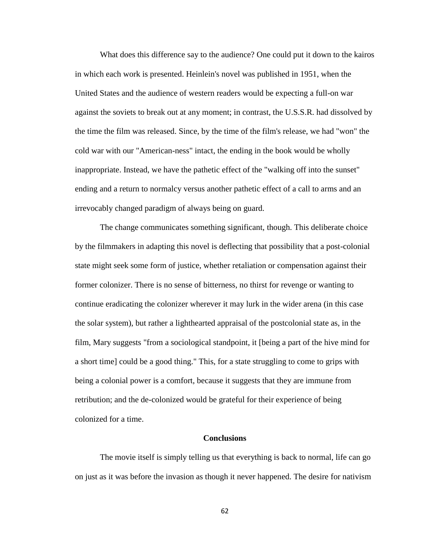What does this difference say to the audience? One could put it down to the kairos in which each work is presented. Heinlein's novel was published in 1951, when the United States and the audience of western readers would be expecting a full-on war against the soviets to break out at any moment; in contrast, the U.S.S.R. had dissolved by the time the film was released. Since, by the time of the film's release, we had "won" the cold war with our "American-ness" intact, the ending in the book would be wholly inappropriate. Instead, we have the pathetic effect of the "walking off into the sunset" ending and a return to normalcy versus another pathetic effect of a call to arms and an irrevocably changed paradigm of always being on guard.

The change communicates something significant, though. This deliberate choice by the filmmakers in adapting this novel is deflecting that possibility that a post-colonial state might seek some form of justice, whether retaliation or compensation against their former colonizer. There is no sense of bitterness, no thirst for revenge or wanting to continue eradicating the colonizer wherever it may lurk in the wider arena (in this case the solar system), but rather a lighthearted appraisal of the postcolonial state as, in the film, Mary suggests "from a sociological standpoint, it [being a part of the hive mind for a short time] could be a good thing." This, for a state struggling to come to grips with being a colonial power is a comfort, because it suggests that they are immune from retribution; and the de-colonized would be grateful for their experience of being colonized for a time.

#### **Conclusions**

The movie itself is simply telling us that everything is back to normal, life can go on just as it was before the invasion as though it never happened. The desire for nativism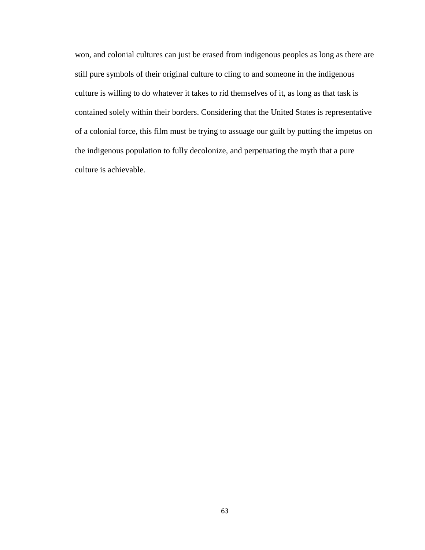won, and colonial cultures can just be erased from indigenous peoples as long as there are still pure symbols of their original culture to cling to and someone in the indigenous culture is willing to do whatever it takes to rid themselves of it, as long as that task is contained solely within their borders. Considering that the United States is representative of a colonial force, this film must be trying to assuage our guilt by putting the impetus on the indigenous population to fully decolonize, and perpetuating the myth that a pure culture is achievable.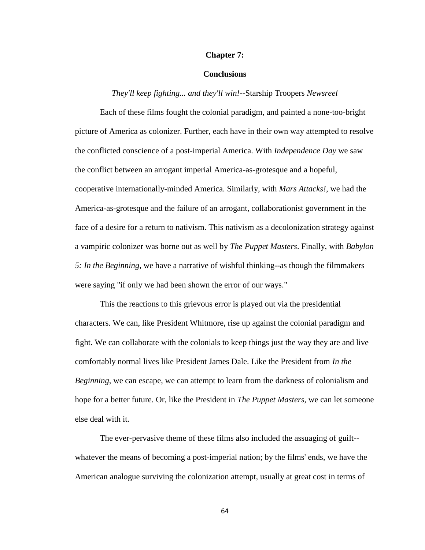### **Chapter 7:**

# **Conclusions**

# *They'll keep fighting... and they'll win!--*Starship Troopers *Newsreel*

Each of these films fought the colonial paradigm, and painted a none-too-bright picture of America as colonizer. Further, each have in their own way attempted to resolve the conflicted conscience of a post-imperial America. With *Independence Day* we saw the conflict between an arrogant imperial America-as-grotesque and a hopeful, cooperative internationally-minded America. Similarly, with *Mars Attacks!*, we had the America-as-grotesque and the failure of an arrogant, collaborationist government in the face of a desire for a return to nativism. This nativism as a decolonization strategy against a vampiric colonizer was borne out as well by *The Puppet Masters*. Finally, with *Babylon 5: In the Beginning*, we have a narrative of wishful thinking--as though the filmmakers were saying "if only we had been shown the error of our ways."

This the reactions to this grievous error is played out via the presidential characters. We can, like President Whitmore, rise up against the colonial paradigm and fight. We can collaborate with the colonials to keep things just the way they are and live comfortably normal lives like President James Dale. Like the President from *In the Beginning*, we can escape, we can attempt to learn from the darkness of colonialism and hope for a better future. Or, like the President in *The Puppet Masters*, we can let someone else deal with it.

The ever-pervasive theme of these films also included the assuaging of guilt- whatever the means of becoming a post-imperial nation; by the films' ends, we have the American analogue surviving the colonization attempt, usually at great cost in terms of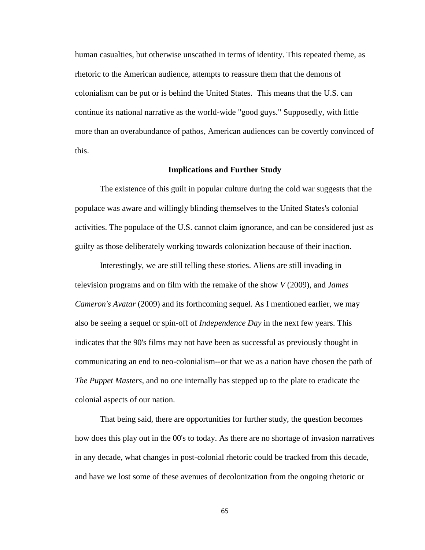human casualties, but otherwise unscathed in terms of identity. This repeated theme, as rhetoric to the American audience, attempts to reassure them that the demons of colonialism can be put or is behind the United States. This means that the U.S. can continue its national narrative as the world-wide "good guys." Supposedly, with little more than an overabundance of pathos, American audiences can be covertly convinced of this.

# **Implications and Further Study**

The existence of this guilt in popular culture during the cold war suggests that the populace was aware and willingly blinding themselves to the United States's colonial activities. The populace of the U.S. cannot claim ignorance, and can be considered just as guilty as those deliberately working towards colonization because of their inaction.

Interestingly, we are still telling these stories. Aliens are still invading in television programs and on film with the remake of the show *V* (2009), and *James Cameron's Avatar* (2009) and its forthcoming sequel. As I mentioned earlier, we may also be seeing a sequel or spin-off of *Independence Day* in the next few years. This indicates that the 90's films may not have been as successful as previously thought in communicating an end to neo-colonialism--or that we as a nation have chosen the path of *The Puppet Masters*, and no one internally has stepped up to the plate to eradicate the colonial aspects of our nation.

That being said, there are opportunities for further study, the question becomes how does this play out in the 00's to today. As there are no shortage of invasion narratives in any decade, what changes in post-colonial rhetoric could be tracked from this decade, and have we lost some of these avenues of decolonization from the ongoing rhetoric or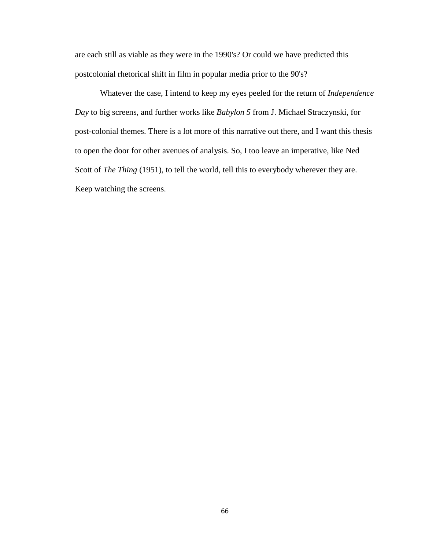are each still as viable as they were in the 1990's? Or could we have predicted this postcolonial rhetorical shift in film in popular media prior to the 90's?

Whatever the case, I intend to keep my eyes peeled for the return of *Independence Day* to big screens, and further works like *Babylon 5* from J. Michael Straczynski, for post-colonial themes. There is a lot more of this narrative out there, and I want this thesis to open the door for other avenues of analysis. So, I too leave an imperative, like Ned Scott of *The Thing* (1951), to tell the world, tell this to everybody wherever they are. Keep watching the screens.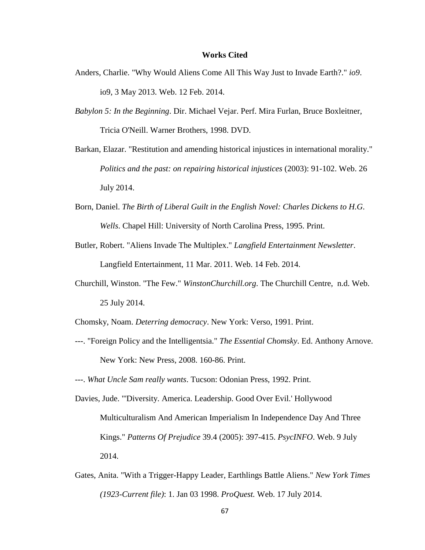## **Works Cited**

- Anders, Charlie. "Why Would Aliens Come All This Way Just to Invade Earth?." *io9*. io9, 3 May 2013. Web. 12 Feb. 2014.
- *Babylon 5: In the Beginning*. Dir. Michael Vejar. Perf. Mira Furlan, Bruce Boxleitner, Tricia O'Neill. Warner Brothers, 1998. DVD.
- Barkan, Elazar. "Restitution and amending historical injustices in international morality." *Politics and the past: on repairing historical injustices* (2003): 91-102. Web. 26 July 2014.
- Born, Daniel. *The Birth of Liberal Guilt in the English Novel: Charles Dickens to H.G. Wells*. Chapel Hill: University of North Carolina Press, 1995. Print.
- Butler, Robert. "Aliens Invade The Multiplex." *Langfield Entertainment Newsletter*. Langfield Entertainment, 11 Mar. 2011. Web. 14 Feb. 2014.
- Churchill, Winston. "The Few." *WinstonChurchill.org*. The Churchill Centre, n.d. Web. 25 July 2014.
- Chomsky, Noam. *Deterring democracy*. New York: Verso, 1991. Print.
- ---. "Foreign Policy and the Intelligentsia." *The Essential Chomsky*. Ed. Anthony Arnove. New York: New Press, 2008. 160-86. Print.
- ---. *What Uncle Sam really wants*. Tucson: Odonian Press, 1992. Print.
- Davies, Jude. "'Diversity. America. Leadership. Good Over Evil.' Hollywood Multiculturalism And American Imperialism In Independence Day And Three Kings." *Patterns Of Prejudice* 39.4 (2005): 397-415. *PsycINFO*. Web. 9 July 2014.
- Gates, Anita. "With a Trigger-Happy Leader, Earthlings Battle Aliens." *New York Times (1923-Current file)*: 1. Jan 03 1998. *ProQuest.* Web. 17 July 2014.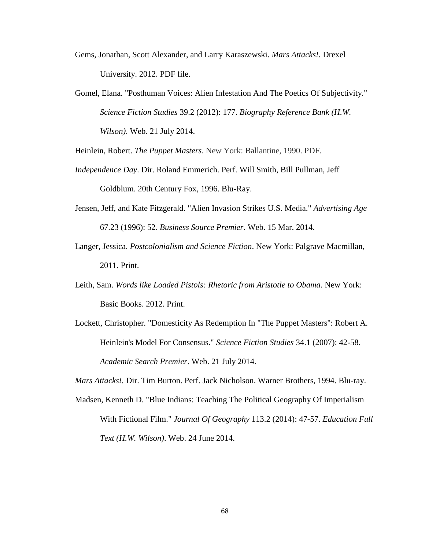- Gems, Jonathan, Scott Alexander, and Larry Karaszewski. *Mars Attacks!.* Drexel University. 2012. PDF file.
- Gomel, Elana. "Posthuman Voices: Alien Infestation And The Poetics Of Subjectivity." *Science Fiction Studies* 39.2 (2012): 177. *Biography Reference Bank (H.W. Wilson)*. Web. 21 July 2014.

Heinlein, Robert. *The Puppet Masters*. New York: Ballantine, 1990. PDF.

- *Independence Day*. Dir. Roland Emmerich. Perf. Will Smith, Bill Pullman, Jeff Goldblum. 20th Century Fox, 1996. Blu-Ray.
- Jensen, Jeff, and Kate Fitzgerald. "Alien Invasion Strikes U.S. Media." *Advertising Age* 67.23 (1996): 52. *Business Source Premier*. Web. 15 Mar. 2014.
- Langer, Jessica. *Postcolonialism and Science Fiction*. New York: Palgrave Macmillan, 2011. Print.
- Leith, Sam. *Words like Loaded Pistols: Rhetoric from Aristotle to Obama*. New York: Basic Books. 2012. Print.
- Lockett, Christopher. "Domesticity As Redemption In "The Puppet Masters": Robert A. Heinlein's Model For Consensus." *Science Fiction Studies* 34.1 (2007): 42-58. *Academic Search Premier*. Web. 21 July 2014.

*Mars Attacks!.* Dir. Tim Burton. Perf. Jack Nicholson. Warner Brothers, 1994. Blu-ray.

Madsen, Kenneth D. "Blue Indians: Teaching The Political Geography Of Imperialism With Fictional Film." *Journal Of Geography* 113.2 (2014): 47-57. *Education Full Text (H.W. Wilson)*. Web. 24 June 2014.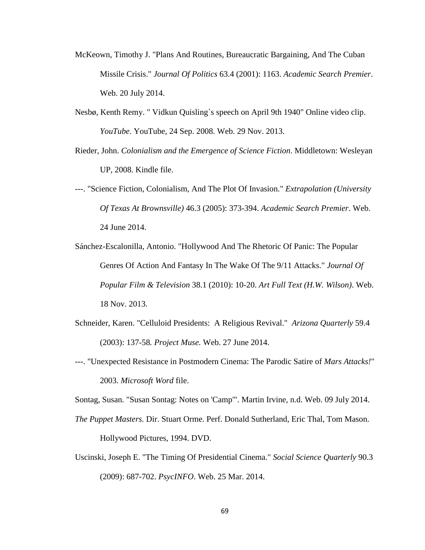- McKeown, Timothy J. "Plans And Routines, Bureaucratic Bargaining, And The Cuban Missile Crisis." *Journal Of Politics* 63.4 (2001): 1163. *Academic Search Premier*. Web. 20 July 2014.
- Nesbø, Kenth Remy. " Vidkun Quisling`s speech on April 9th 1940" Online video clip. *YouTube*. YouTube, 24 Sep. 2008. Web. 29 Nov. 2013.
- Rieder, John. *Colonialism and the Emergence of Science Fiction*. Middletown: Wesleyan UP, 2008. Kindle file.
- ---. "Science Fiction, Colonialism, And The Plot Of Invasion." *Extrapolation (University Of Texas At Brownsville)* 46.3 (2005): 373-394. *Academic Search Premier*. Web. 24 June 2014.
- Sánchez-Escalonilla, Antonio. "Hollywood And The Rhetoric Of Panic: The Popular Genres Of Action And Fantasy In The Wake Of The 9/11 Attacks." *Journal Of Popular Film & Television* 38.1 (2010): 10-20. *Art Full Text (H.W. Wilson)*. Web. 18 Nov. 2013.
- Schneider, Karen. "Celluloid Presidents: A Religious Revival." *Arizona Quarterly* 59.4 (2003): 137-58*. Project Muse.* Web. 27 June 2014.
- ---. "Unexpected Resistance in Postmodern Cinema: The Parodic Satire of *Mars Attacks!*" 2003. *Microsoft Word* file.

Sontag, Susan. "Susan Sontag: Notes on 'Camp'". Martin Irvine, n.d. Web. 09 July 2014.

- *The Puppet Masters.* Dir. Stuart Orme. Perf. Donald Sutherland, Eric Thal, Tom Mason. Hollywood Pictures, 1994. DVD.
- Uscinski, Joseph E. "The Timing Of Presidential Cinema." *Social Science Quarterly* 90.3 (2009): 687-702. *PsycINFO*. Web. 25 Mar. 2014.